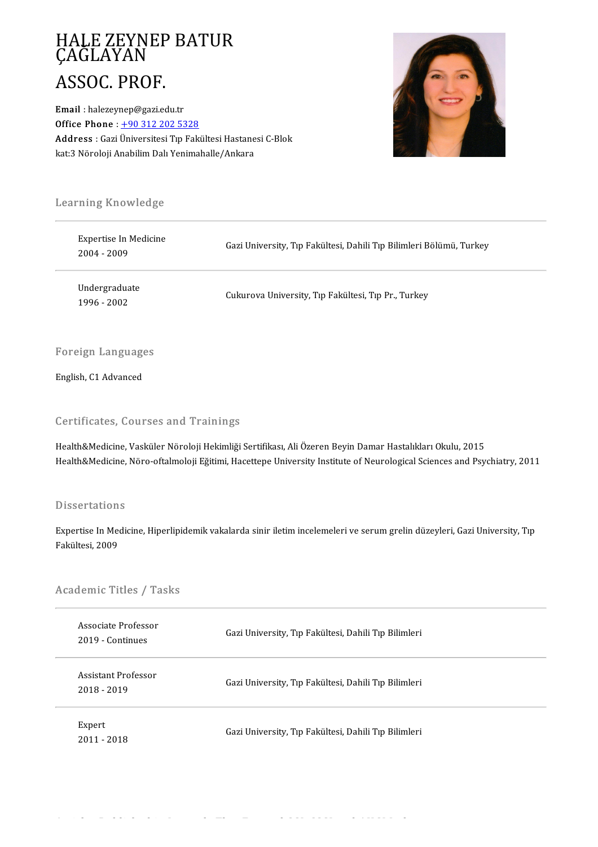## HALE ZEYNEP BATUR<br>ÇAĞLAYAN HALE ZEYNE<br>ÇAĞLAYAN<br>ASSOC PROJ HALE ZEYNEP<br>ÇAĞLAYAN<br>ASSOC. PROF.<br>Email : halezevnen@eazi.ed ASSOC. PROF.<br>Email : halezeynep@gazi.edu.tr

Office Phone:  $+903122025328$ Email : halezeynep@gazi.edu.tr<br>Office Phone : <u>+90 312 202 5328</u><br>Address : Gazi Üniversitesi Tıp Fakültesi Hastanesi C-Blok<br>kat<sup>.2</sup> Nöroloji Anabilim Dalı Yonimaballa (Ankara **Office Phone** : <u>+90 312 202 5328</u><br><mark>Address</mark> : Gazi Üniversitesi Tıp Fakültesi Hastane<br>kat:3 Nöroloji Anabilim Dalı Yenimahalle/Ankara



# .<br>Learning Knowledge

| Learning Knowledge                   |                                                                     |
|--------------------------------------|---------------------------------------------------------------------|
| Expertise In Medicine<br>2004 - 2009 | Gazi University, Tıp Fakültesi, Dahili Tıp Bilimleri Bölümü, Turkey |
| Undergraduate<br>1996 - 2002         | Cukurova University, Tip Fakültesi, Tip Pr., Turkey                 |
| <b>Foreign Languages</b>             |                                                                     |

## Foreign Language<br>English, C1 Advanced

## English, C1 Advanced<br>Certificates, Courses and Trainings

Health&Medicine, Vasküler Nöroloji Hekimliği Sertifikası, Ali Özeren Beyin Damar Hastalıkları Okulu, 2015 Health&Medicine, Nöro-oftalmoloji Eğitimi, Hacettepe University Institute of Neurological Sciences and Psychiatry, 2011

#### Dissertations

Dissertations<br>Expertise In Medicine, Hiperlipidemik vakalarda sinir iletim incelemeleri ve serum grelin düzeyleri, Gazi University, Tıp<br>Fekültesi, 2009 Basser aatroni<br>Expertise In Me<br>Fakültesi, 2009

# rakultesi, 2009<br>Academic Titles / Tasks

| Academic Titles / Tasks                 |                                                      |
|-----------------------------------------|------------------------------------------------------|
| Associate Professor<br>2019 - Continues | Gazi University, Tıp Fakültesi, Dahili Tıp Bilimleri |
| Assistant Professor<br>2018 - 2019      | Gazi University, Tıp Fakültesi, Dahili Tıp Bilimleri |
| Expert<br>2011 - 2018                   | Gazi University, Tıp Fakültesi, Dahili Tıp Bilimleri |

Articles Published in Journals That Entered SCI, SSCI and AHCI Indexes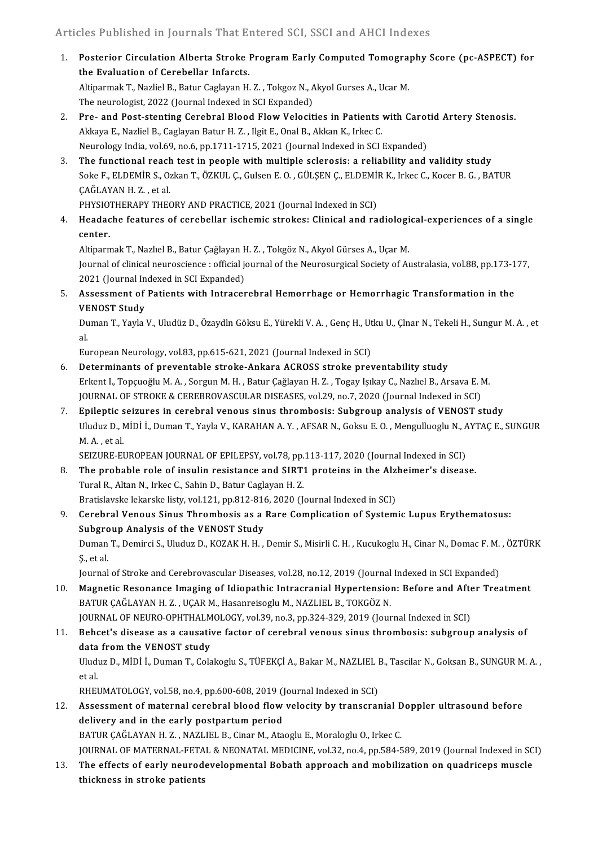- nticles Published in Journals That Entered SCI, SSCI and AHCI Indexes<br>1. Posterior Circulation Alberta Stroke Program Early Computed Tomography Score (pc-ASPECT) for<br>the Evaluation of Carabellar Inforate The Evaluation of Cerebellar Infarcts.<br>The Evaluation of Cerebellar Infarcts.<br>Altinormak T. Noglial P. Potur Ceglavon H. Posterior Circulation Alberta Stroke Program Early Computed Tomogra<br>the Evaluation of Cerebellar Infarcts.<br>Altiparmak T., Nazliel B., Batur Caglayan H. Z. , Tokgoz N., Akyol Gurses A., Ucar M.<br>The neuvelagist 2022 (Jeurnal the Evaluation of Cerebellar Infarcts.<br>Altiparmak T., Nazliel B., Batur Caglayan H. Z. , Tokgoz N., Akyol Gurses A., Ucar M.<br>The neurologist, 2022 (Journal Indexed in SCI Expanded) Altiparmak T., Nazliel B., Batur Caglayan H. Z. , Tokgoz N., Akyol Gurses A., Ucar M.<br>2. Pre- and Post-stenting Cerebral Blood Flow Velocities in Patients with Carotid Artery Stenosis.<br>3. Pre- and Post-stenting Cerebral Bl
- The neurologist, 2022 (Journal Indexed in SCI Expanded)<br>Pre- and Post-stenting Cerebral Blood Flow Velocities in Patients<br>Akkaya E., Nazliel B., Caglayan Batur H. Z. , Ilgit E., Onal B., Akkan K., Irkec C.<br>Naurolagy India Pre- and Post-stenting Cerebral Blood Flow Velocities in Patients with Carot<br>Akkaya E., Nazliel B., Caglayan Batur H. Z. , Ilgit E., Onal B., Akkan K., Irkec C.<br>Neurology India, vol.69, no.6, pp.1711-1715, 2021 (Journal In 3. Akkaya E., Nazliel B., Caglayan Batur H. Z. , Ilgit E., Onal B., Akkan K., Irkec C.<br>3. The functional reach test in people with multiple sclerosis: a reliability and validity study<br>3. The functional reach test in people
- Neurology India, vol.69, no.6, pp.1711-1715, 2021 (Journal Indexed in SCI Expanded)<br>The functional reach test in people with multiple sclerosis: a reliability and validity study<br>Soke F., ELDEMİR S., Ozkan T., ÖZKUL Ç., Gul The functional reach<br>Soke F., ELDEMİR S., O.<br>ÇAĞLAYAN H. Z. , et al.<br>puvsiotuep apv tuec Soke F., ELDEMİR S., Ozkan T., ÖZKUL Ç., Gulsen E. O. , GÜLŞEN Ç., ELDEMİ<br>ÇAĞLAYAN H. Z. , et al.<br>PHYSIOTHERAPY THEORY AND PRACTICE, 2021 (Journal Indexed in SCI)<br>Headache features of serebellar isebemis strekes: Clinisel

4. Headache features of cerebellar ischemic strokes: Clinical and radiological-experiences of a single center. PHYSIO"<br>Headac<br>center. Headache features of cerebellar ischemic strokes: Clinical and radiologi<br>center.<br>Altiparmak T., Nazlıel B., Batur Çağlayan H. Z. , Tokgöz N., Akyol Gürses A., Uçar M.<br>Journal of clinical nourosciance : official journal of

Journal of clinical neuroscience : official journal of the Neurosurgical Society of Australasia, vol.88, pp.173-177, Altiparmak T., Nazlıel B., Batur Çağlayan F<br>Journal of clinical neuroscience : official jo<br>2021 (Journal Indexed in SCI Expanded)<br>Assessment of Batients with Intressy 2021 (Journal Indexed in SCI Expanded)

5. Assessment of Patients with Intracerebral Hemorrhage or Hemorrhagic Transformation in the Assessment of Patients with Intracerebral Hemorrhage or Hemorrhagic Transformation in the<br>VENOST Study<br>Duman T., Yayla V., Uludüz D., Özaydln Göksu E., Yürekli V. A. , Genç H., Utku U., Çlnar N., Tekeli H., Sungur M. A. ,

**VE**<br>Du<br>al. Duman T., Yayla V., Uludüz D., Özaydln Göksu E., Yürekli V. A. , Genç H., Ut<br>al.<br>European Neurology, vol.83, pp.615-621, 2021 (Journal Indexed in SCI)<br>Determinants of preuentable strake Ankare ACPOSS strake preu

- al.<br>6. European Neurology, vol.83, pp.615-621, 2021 (Journal Indexed in SCI)<br>6. Determinants of preventable stroke-Ankara ACROSS stroke preventability study European Neurology, vol.83, pp.615-621, 2021 (Journal Indexed in SCI)<br><mark>Determinants of preventable stroke-Ankara ACROSS stroke preventability study</mark><br>Erkent I., Topçuoğlu M. A. , Sorgun M. H. , Batur Çağlayan H. Z. , Togay Determinants of preventable stroke-Ankara ACROSS stroke preventability study<br>Erkent I., Topçuoğlu M. A. , Sorgun M. H. , Batur Çağlayan H. Z. , Togay Işıkay C., Nazlıel B., Arsava E. I<br>JOURNAL OF STROKE & CEREBROVASCULAR D Erkent I., Topçuoğlu M. A., Sorgun M. H., Batur Çağlayan H. Z., Togay Işıkay C., Nazlıel B., Arsava E. M.<br>JOURNAL OF STROKE & CEREBROVASCULAR DISEASES, vol.29, no.7, 2020 (Journal Indexed in SCI)<br>7. Epileptic seizures in c
- JOURNAL OF STROKE & CEREBROVASCULAR DISEASES, vol.29, no.7, 2020 (Journal Indexed in SCI)<br>Epileptic seizures in cerebral venous sinus thrombosis: Subgroup analysis of VENOST study<br>Uluduz D., MİDİ İ., Duman T., Yayla V., KA Epileptic s<br>Uluduz D., M.<br>A. , et al.<br>SEIZUDE EI Uluduz D., MİDİ İ., Duman T., Yayla V., KARAHAN A. Y. , AFSAR N., Goksu E. O. , Mengulluoglu N., A<br>M. A. , et al.<br>SEIZURE-EUROPEAN JOURNAL OF EPILEPSY, vol.78, pp.113-117, 2020 (Journal Indexed in SCI)<br>The prehable rele of

- M. A., et al.<br>SEIZURE-EUROPEAN JOURNAL OF EPILEPSY, vol.78, pp.113-117, 2020 (Journal Indexed in SCI)<br>8. The probable role of insulin resistance and SIRT1 proteins in the Alzheimer's disease.<br>Tural P. Altan N. Irlies C. Sa SEIZURE-EUROPEAN JOURNAL OF EPILEPSY, vol.78, pp.<br>The probable role of insulin resistance and SIRT:<br>Tural R., Altan N., Irkec C., Sahin D., Batur Caglayan H. Z.<br>Pratislavska lakarska listy vol.121, pp.912,916,2020 (L. The probable role of insulin resistance and SIRT1 proteins in the Alz<br>Tural R., Altan N., Irkec C., Sahin D., Batur Caglayan H. Z.<br>Bratislavske lekarske listy, vol.121, pp.812-816, 2020 (Journal Indexed in SCI)<br>Carabral Va Bratislavske lekarske listy, vol.121, pp.812-816, 2020 (Journal Indexed in SCI)
- Tural R., Altan N., Irkec C., Sahin D., Batur Caglayan H. Z.<br>Bratislavske lekarske listy, vol.121, pp.812-816, 2020 (Journal Indexed in SCI)<br>9. Cerebral Venous Sinus Thrombosis as a Rare Complication of Systemic Lupus Eryt Cerebral Venous Sinus Thrombosis as a Rare Complication of Systemic Lupus Erythematosus:<br>Subgroup Analysis of the VENOST Study<br>Duman T., Demirci S., Uluduz D., KOZAK H. H. , Demir S., Misirli C. H. , Kucukoglu H., Cinar N.

Subgro<br>Duman<br>Ş., et al. Duman T., Demirci S., Uluduz D., KOZAK H. H. , Demir S., Misirli C. H. , Kucukoglu H., Cinar N., Domac F. M.<br>Ş., et al.<br>Journal of Stroke and Cerebrovascular Diseases, vol.28, no.12, 2019 (Journal Indexed in SCI Expanded)<br>

- 5., et al.<br>Journal of Stroke and Cerebrovascular Diseases, vol.28, no.12, 2019 (Journal Indexed in SCI Expanded)<br>10. Magnetic Resonance Imaging of Idiopathic Intracranial Hypertension: Before and After Treatment<br>RATUR CAČL Journal of Stroke and Cerebrovascular Diseases, vol.28, no.12, 2019 (Journal<br>Magnetic Resonance Imaging of Idiopathic Intracranial Hypertension<br>BATUR ÇAĞLAYAN H. Z. , UÇAR M., Hasanreisoglu M., NAZLIEL B., TOKGÖZ N.<br>JOURNA Magnetic Resonance Imaging of Idiopathic Intracranial Hypertension: Before and Afte<br>BATUR ÇAĞLAYAN H. Z. , UÇAR M., Hasanreisoglu M., NAZLIEL B., TOKGÖZ N.<br>JOURNAL OF NEURO-OPHTHALMOLOGY, vol.39, no.3, pp.324-329, 2019 (Jo BATUR ÇAĞLAYAN H. Z. , UÇAR M., Hasanreisoglu M., NAZLIEL B., TOKGÖZ N.<br>JOURNAL OF NEURO-OPHTHALMOLOGY, vol.39, no.3, pp.324-329, 2019 (Journal Indexed in SCI)<br>11. Behcet's disease as a causative factor of cerebral venous
- JOURNAL OF NEURO-OPHTHALM<br>Behcet's disease as a causative<br>data from the VENOST study<br>Unduz D. MiDLL Duman T. Cola Behcet's disease as a causative factor of cerebral venous sinus thrombosis: subgroup analysis of<br>data from the VENOST study<br>Uluduz D., MİDİ İ., Duman T., Colakoglu S., TÜFEKÇİ A., Bakar M., NAZLIEL B., Tascilar N., Goksan d<mark>ata</mark><br>Uludi<br>et al.<br>puer Uluduz D., MİDİ İ., Duman T., Colakoglu S., TÜFEKÇİ A., Bakar M., NAZLIEL I<br>et al.<br>RHEUMATOLOGY, vol.58, no.4, pp.600-608, 2019 (Journal Indexed in SCI)<br>Assessment of maternal serebral blood flow velosity by transsrer

et al.<br>12. Assessment of maternal cerebral blood flow velocity by transcranial Doppler ultrasound before<br>12. Assessment of maternal cerebral blood flow velocity by transcranial Doppler ultrasound before RHEUMATOLOGY, vol.58, no.4, pp.600-608, 2019 (Journal Indexed in SCI)<br>Assessment of maternal cerebral blood flow velocity by transcranial D<br>delivery and in the early postpartum period<br>BATUR CAĞLAYAN H. Z. , NAZLIEL B., Cin Assessment of maternal cerebral blood flow velocity by transcranial D<br>delivery and in the early postpartum period<br>BATUR ÇAĞLAYAN H. Z. , NAZLIEL B., Cinar M., Ataoglu E., Moraloglu O., Irkec C.<br>JOURNAL OE MATERNAL EETAL & delivery and in the early postpartum period<br>BATUR ÇAĞLAYAN H. Z. , NAZLIEL B., Cinar M., Ataoglu E., Moraloglu O., Irkec C.<br>JOURNAL OF MATERNAL-FETAL & NEONATAL MEDICINE, vol.32, no.4, pp.584-589, 2019 (Journal Indexed in

13. The effects of early neurodevelopmental Bobath approach and mobilization on quadriceps muscle thickness in stroke patients JOURNAL OF MATERNAL-FETA<br>The effects of early neurod<br>thickness in stroke patients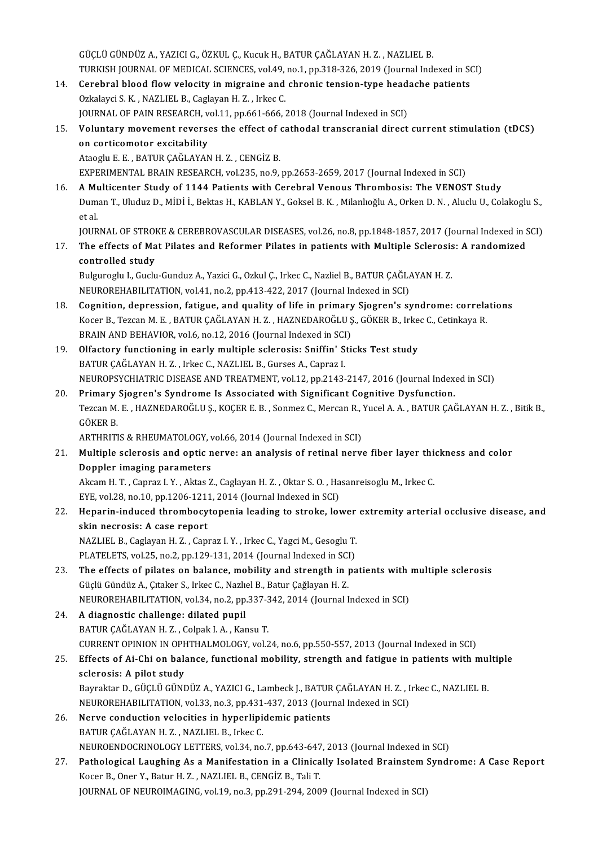GÜÇLÜGÜNDÜZA.,YAZICIG.,ÖZKUL Ç.,KucukH.,BATURÇAĞLAYANH.Z. ,NAZLIELB. GÜÇLÜ GÜNDÜZ A., YAZICI G., ÖZKUL Ç., Kucuk H., BATUR ÇAĞLAYAN H. Z. , NAZLIEL B.<br>TURKISH JOURNAL OF MEDICAL SCIENCES, vol.49, no.1, pp.318-326, 2019 (Journal Indexed in SCI)<br>Carabral blaad flaw valasity in misraine and sh GÜÇLÜ GÜNDÜZ A., YAZICI G., ÖZKUL Ç., Kucuk H., BATUR ÇAĞLAYAN H. Z. , NAZLIEL B.<br>TURKISH JOURNAL OF MEDICAL SCIENCES, vol.49, no.1, pp.318-326, 2019 (Journal Indexed in S(<br>14. Cerebral blood flow velocity in migraine and

- TURKISH JOURNAL OF MEDICAL SCIENCES, vol.49,<br>Cerebral blood flow velocity in migraine and<br>Ozkalayci S. K. , NAZLIEL B., Caglayan H. Z. , Irkec C.<br>JOURNAL OF RAIN PESEARCH vol.1.1, pp.661,666,66 14. Cerebral blood flow velocity in migraine and chronic tension-type headache patients Ozkalayci S. K., NAZLIEL B., Caglayan H. Z., Irkec C. 0zkalayci S. K. , NAZLIEL B., Caglayan H. Z. , Irkec C.<br>15. Voluntary movement reverses the effect of cathodal transcranial direct current stimulation (tDCS)<br>20. Constitution (tDCS)
- JOURNAL OF PAIN RESEARCH, vol.11, pp.661-666, 2018 (Journal Indexed in SCI)<br>Voluntary movement reverses the effect of cathodal transcranial direct<br>on corticomotor excitability<br>Ataoglu E. E. , BATUR CAĞLAYAN H. Z. , CENGİZ Voluntary movement reverses the effect of or<br>on corticomotor excitability<br>Ataoglu E. E. , BATUR ÇAĞLAYAN H. Z. , CENGİZ B.<br>EXPERIMENTAL PRAIN PESEARCH .val.225, no.9.

EXPERIMENTAL BRAIN RESEARCH, vol.235, no.9, pp.2653-2659, 2017 (Journal Indexed in SCI) Ataoglu E. E., BATUR ÇAĞLAYAN H. Z., CENGİZ B.<br>
EXPERIMENTAL BRAIN RESEARCH, vol.235, no.9, pp.2653-2659, 2017 (Journal Indexed in SCI)<br>
16. A Multicenter Study of 1144 Patients with Cerebral Venous Thrombosis: The VENOST

EXPERIMENTAL BRAIN RESEARCH, vol.235, no.9, pp.2653-2659, 2017 (Journal Indexed in SCI)<br>A Multicenter Study of 1144 Patients with Cerebral Venous Thrombosis: The VENOST Study<br>Duman T., Uluduz D., MİDİ İ., Bektas H., KABLAN **A Mu<br>Dum**<br>et al.<br>JOUP Duman T., Uluduz D., MİDİ İ., Bektas H., KABLAN Y., Goksel B. K. , Milanlıoğlu A., Orken D. N. , Aluclu U., Colakoglu S.,<br>et al.<br>JOURNAL OF STROKE & CEREBROVASCULAR DISEASES, vol.26, no.8, pp.1848-1857, 2017 (Journal Index

et al.<br>17. JOURNAL OF STROKE & CEREBROVASCULAR DISEASES, vol.26, no.8, pp.1848-1857, 2017 (Journal Indexed in Space<br>17. The effects of Mat Pilates and Reformer Pilates in patients with Multiple Sclerosis: A randomized<br>17. **JOURNAL OF STROI<br>The effects of Ma<br>controlled study**<br>Bulguresh: L. Gushi The effects of Mat Pilates and Reformer Pilates in patients with Multiple Sclerosis<br>controlled study<br>Bulguroglu I., Guclu-Gunduz A., Yazici G., Ozkul Ç., Irkec C., Nazliel B., BATUR ÇAĞLAYAN H. Z.<br>NEUPOREHABU ITATION vol.4

controlled study<br>Bulguroglu I., Guclu-Gunduz A., Yazici G., Ozkul Ç., Irkec C., Nazliel B., BATUR ÇAĞLAYAN H. Z.<br>NEUROREHABILITATION, vol.41, no.2, pp.413-422, 2017 (Journal Indexed in SCI) Bulguroglu I., Guclu-Gunduz A., Yazici G., Ozkul Ç., Irkec C., Nazliel B., BATUR ÇAĞLAYAN H. Z.<br>NEUROREHABILITATION, vol.41, no.2, pp.413-422, 2017 (Journal Indexed in SCI)<br>18. Cognition, depression, fatigue, and quality o

- NEUROREHABILITATION, vol.41, no.2, pp.413-422, 2017 (Journal Indexed in SCI)<br>Cognition, depression, fatigue, and quality of life in primary Sjogren's syndrome: correla<br>Kocer B., Tezcan M. E. , BATUR ÇAĞLAYAN H. Z. , HAZNED Cognition, depression, fatigue, and quality of life in primary<br>Kocer B., Tezcan M. E. , BATUR ÇAĞLAYAN H. Z. , HAZNEDAROĞLU Ş<br>BRAIN AND BEHAVIOR, vol.6, no.12, 2016 (Journal Indexed in SCI)<br>Olfactory functioning in early m Kocer B., Tezcan M. E. , BATUR ÇAĞLAYAN H. Z. , HAZNEDAROĞLU Ş., GÖKER B., Irkec C., Cetinkaya R.<br>BRAIN AND BEHAVIOR, vol.6, no.12, 2016 (Journal Indexed in SCI)<br>Olfactory functioning in early multiple sclerosis: Sniffin' BRAIN AND BEHAVIOR, vol.6, no.12, 2016 (Journal Indexed in SCI)
- NEUROPSYCHIATRIC DISEASE AND TREATMENT, vol.12, pp.2143-2147, 2016 (Journal Indexed in SCI) BATUR ÇAĞLAYAN H. Z., Irkec C., NAZLIEL B., Gurses A., Capraz I.<br>NEUROPSYCHIATRIC DISEASE AND TREATMENT, vol.12, pp.2143-2147, 2016 (Journal Index<br>20. Primary Sjogren's Syndrome Is Associated with Significant Cognitive Dys
- NEUROPSYCHIATRIC DISEASE AND TREATMENT, vol.12, pp.2143-2147, 2016 (Journal Indexed in SCI)<br><mark>Primary Sjogren's Syndrome Is Associated with Significant Cognitive Dysfunction.</mark><br>Tezcan M. E. , HAZNEDAROĞLU Ş., KOÇER E. B. , S Pri<mark>mary</mark><br>Tezcan M.<br>GÖKER B.<br>ARTHRITI Tezcan M. E. , HAZNEDAROĞLU Ş., KOÇER E. B. , Sonmez C., Mercan R., `<br>GÖKER B.<br>ARTHRITIS & RHEUMATOLOGY, vol.66, 2014 (Journal Indexed in SCI)<br>Multiple selerosis and ontis norve; an analysis of ratinal norv 21. GÖKER B.<br>21. Multiple sclerosis and optic nerve: an analysis of retinal nerve fiber layer thickness and color<br>21. Multiple sclerosis and optic nerve: an analysis of retinal nerve fiber layer thickness and color

- Doppler imaging parameters Multiple sclerosis and optic nerve: an analysis of retinal nerve fiber layer thie<br>Doppler imaging parameters<br>Akcam H. T. , Capraz I. Y. , Aktas Z., Caglayan H. Z. , Oktar S. O. , Hasanreisoglu M., Irkec C.<br>EVE val 28 no.10 Doppler imaging parameters<br>Akcam H. T. , Capraz I. Y. , Aktas Z., Caglayan H. Z. , Oktar S. O. , Ha<br>EYE, vol.28, no.10, pp.1206-1211, 2014 (Journal Indexed in SCI)<br>Hanarin indused thrombosytanonia loading to stroke, loy
- Akcam H. T. , Capraz I. Y. , Aktas Z., Caglayan H. Z. , Oktar S. O. , Hasanreisoglu M., Irkec C.<br>22. Heparin-induced thrombocytopenia leading to stroke, lower extremity arterial occlusive disease, and<br>22. Heparin-induced t EYE, vol.28, no.10, pp.1206-1211<br>Heparin-induced thrombocy<br>skin necrosis: A case report<br>NAZUEL B. Coslaven H.Z., Com Heparin-induced thrombocytopenia leading to stroke, lower<br>skin necrosis: A case report<br>NAZLIEL B., Caglayan H. Z. , Capraz I.Y. , Irkec C., Yagci M., Gesoglu T.<br>PLATELETS, vol.25, po.2, pp.120,121,2014 (Journal Indeved in

skin necrosis: A case report<br>NAZLIEL B., Caglayan H. Z. , Capraz I. Y. , Irkec C., Yagci M., Gesoglu T.<br>PLATELETS, vol.25, no.2, pp.129-131, 2014 (Journal Indexed in SCI)<br>The effects of pilates on balance, mobility and str

- NAZLIEL B., Caglayan H. Z. , Capraz I. Y. , Irkec C., Yagci M., Gesoglu T.<br>PLATELETS, vol.25, no.2, pp.129-131, 2014 (Journal Indexed in SCI)<br>23. The effects of pilates on balance, mobility and strength in patients with mu PLATELETS, vol.25, no.2, pp.129-131, 2014 (Journal Indexed in SCI<br>The effects of pilates on balance, mobility and strength in J<br>Güçlü Gündüz A., Çıtaker S., Irkec C., Nazlıel B., Batur Çağlayan H. Z.<br>NEUPOPEHAPU ITATION vo The effects of pilates on balance, mobility and strength in patients with 1<br>Güçlü Gündüz A., Çıtaker S., Irkec C., Nazlıel B., Batur Çağlayan H. Z.<br>NEUROREHABILITATION, vol.34, no.2, pp.337-342, 2014 (Journal Indexed in SC Güçlü Gündüz A., Çıtaker S., Irkec C., Nazlı<br>NEUROREHABILITATION, vol.34, no.2, pp.<br>24. A diagnostic challenge: dilated pupil<br>PATUP CAČLAYAN H.Z. Colpek L.A., Kar
- NEUROREHABILITATION, vol.34, no.2, pp.337-3<br><mark>A diagnostic challenge: dilated pupil</mark><br>BATUR ÇAĞLAYAN H. Z. , Colpak I. A. , Kansu T.<br>CURRENT ORINION IN ORUTHALMOLOCY vol.3 A diagnostic challenge: dilated pupil<br>BATUR ÇAĞLAYAN H. Z. , Colpak I. A. , Kansu T.<br>CURRENT OPINION IN OPHTHALMOLOGY, vol.24, no.6, pp.550-557, 2013 (Journal Indexed in SCI)<br>Effects of Ai Chi on balange, functional mobili BATUR ÇAĞLAYAN H. Z. , Colpak I. A. , Kansu T.<br>25. Effects of Ai-Chi on balance, functional mobility, strength and fatigue in patients with multiple<br>25. Effects of Ai-Chi on balance, functional mobility, strength and fatig
- CURRENT OPINION IN OPH<br>Effects of Ai-Chi on bala<br>sclerosis: A pilot study<br>Bouraltor D. CÜCLÜ CÜNE Effects of Ai-Chi on balance, functional mobility, strength and fatigue in patients with multiple sclerosis: A pilot study<br>Bayraktar D., GÜÇLÜ GÜNDÜZ A., YAZICI G., Lambeck J., BATUR ÇAĞLAYAN H. Z. , Irkec C., NAZLIEL B.<br>N

sclerosis: A pilot study<br>Bayraktar D., GÜÇLÜ GÜNDÜZ A., YAZICI G., Lambeck J., BATUR ÇAĞLAYAN H. Z. , Irkec C., NAZLIEL B.<br>NEUROREHABILITATION, vol.33, no.3, pp.431-437, 2013 (Journal Indexed in SCI)

- 26. Nerve conduction velocities in hyperlipidemic patients BATUR ÇAĞLAYAN H.Z., NAZLIEL B., Irkec C. Nerve conduction velocities in hyperlipidemic patients<br>BATUR ÇAĞLAYAN H. Z. , NAZLIEL B., Irkec C.<br>NEUROENDOCRINOLOGY LETTERS, vol.34, no.7, pp.643-647, 2013 (Journal Indexed in SCI)<br>Pathological Laughing As a Manifestatio
- 27. Pathological Laughing As a Manifestation in a Clinically Isolated Brainstem Syndrome: A Case Report Kocer B., Oner Y., Batur H. Z., NAZLIEL B., CENGIZ B., Tali T. NEUROENDOCRINOLOGY LETTERS, vol.34, no.7, pp.643-647<br>Pathological Laughing As a Manifestation in a Clinica<br>Kocer B., Oner Y., Batur H. Z. , NAZLIEL B., CENGİZ B., Tali T.<br>JOUPNAL OF NEUROJMACING vol.19 no.2 nn.291.294.299 JOURNAL OF NEUROIMAGING, vol.19, no.3, pp.291-294, 2009 (Journal Indexed in SCI)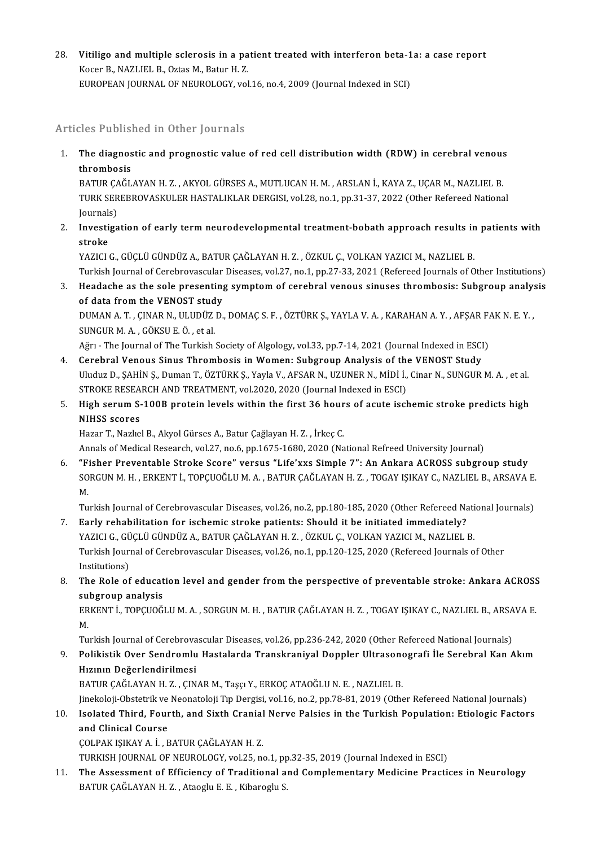28. Vitiligo and multiple sclerosis in a patient treated with interferon beta-1a: a case report<br>Keser B. NAZUEL B. Ogtas M. Patur H. 7 Vitiligo and multiple sclerosis in a pa<br>Kocer B., NAZLIEL B., Oztas M., Batur H. Z.<br>EUROPEAN JOURNAL OF NEUROLOCY vol Vitiligo and multiple sclerosis in a patient treated with interferon beta-1<br>Kocer B., NAZLIEL B., Oztas M., Batur H. Z.<br>EUROPEAN JOURNAL OF NEUROLOGY, vol.16, no.4, 2009 (Journal Indexed in SCI) EUROPEAN JOURNAL OF NEUROLOGY, vol.16, no.4, 2009 (Journal Indexed in SCI)<br>Articles Published in Other Journals

Inticles Published in Other Journals<br>1. The diagnostic and prognostic value of red cell distribution width (RDW) in cerebral venous<br>thrombosis The diagnos<br>The diagnos<br>EATUP CAČL The diagnostic and prognostic value of red cell distribution width (RDW) in cerebral venous<br>thrombosis<br>BATUR ÇAĞLAYAN H. Z. , AKYOL GÜRSES A., MUTLUCAN H. M. , ARSLAN İ., KAYA Z., UÇAR M., NAZLIEL B.<br>TURK SEREPROVASKULER H

thrombosis<br>BATUR ÇAĞLAYAN H. Z. , AKYOL GÜRSES A., MUTLUCAN H. M. , ARSLAN İ., KAYA Z., UÇAR M., NAZLIEL B.<br>TURK SEREBROVASKULER HASTALIKLAR DERGISI, vol.28, no.1, pp.31-37, 2022 (Other Refereed National BATUR ÇA<br>TURK SER<br>Journals)<br>Investige TURK SEREBROVASKULER HASTALIKLAR DERGISI, vol.28, no.1, pp.31-37, 2022 (Other Refereed National<br>Journals)<br>2. Investigation of early term neurodevelopmental treatment-bobath approach results in patients with<br>atrolse

Journal<mark>:</mark><br>I**nvesti**<br>stroke<br><sup>VAZICI</sup> Investigation of early term neurodevelopmental treatment-bobath approach results in<br>stroke<br>YAZICI G., GÜÇLÜ GÜNDÜZ A., BATUR ÇAĞLAYAN H. Z. , ÖZKUL Ç., VOLKAN YAZICI M., NAZLIEL B.<br>Turkish Journal of Carshrouzscular Diseas

stroke<br>YAZICI G., GÜÇLÜ GÜNDÜZ A., BATUR ÇAĞLAYAN H. Z. , ÖZKUL Ç., VOLKAN YAZICI M., NAZLIEL B.<br>Turkish Journal of Cerebrovascular Diseases, vol.27, no.1, pp.27-33, 2021 (Refereed Journals of Other Institutions)

YAZICI G., GÜÇLÜ GÜNDÜZ A., BATUR ÇAĞLAYAN H. Z. , ÖZKUL Ç., VOLKAN YAZICI M., NAZLIEL B.<br>Turkish Journal of Cerebrovascular Diseases, vol.27, no.1, pp.27-33, 2021 (Refereed Journals of Other Institutions)<br>3. Headache as t Turkish Journal of Cerebrovascular<br>Headache as the sole presenting<br>of data from the VENOST study<br>PUMAN A.T. CINAR N. ULUDÜZ D Headache as the sole presenting symptom of cerebral venous sinuses thrombosis: Subgroup analy:<br>of data from the VENOST study<br>DUMAN A. T. , ÇINAR N., ULUDÜZ D., DOMAÇ S. F. , ÖZTÜRK Ş., YAYLA V. A. , KARAHAN A. Y. , AFŞAR F

of data from the VENOST study<br>DUMAN A. T. , ÇINAR N., ULUDÜZ D., DOMAÇ S. F. , ÖZTÜRK Ş., YAYLA V. A. , KARAHAN A. Y. , AFŞAR FAK N. E. Y. ,<br>SUNGUR M. A. , GÖKSU E. Ö. , et al. DUMAN A. T. , ÇINAR N., ULUDÜZ D., DOMAÇ S. F. , ÖZTÜRK Ş., YAYLA V. A. , KARAHAN A. Y. , AFŞAR F.<br>SUNGUR M. A. , GÖKSU E. Ö. , et al.<br>Ağrı - The Journal of The Turkish Society of Algology, vol.33, pp.7-14, 2021 (Journal I

- SUNGUR M. A., GÖKSU E. Ö., et al.<br>Ağrı The Journal of The Turkish Society of Algology, vol.33, pp.7-14, 2021 (Journal Indexed in ESCI<br>4. Cerebral Venous Sinus Thrombosis in Women: Subgroup Analysis of the VENOST Study<br>1. 4. Cerebral Venous Sinus Thrombosis in Women: Subgroup Analysis of the VENOST Study<br>Uluduz D., ŞAHİN Ş., Duman T., ÖZTÜRK Ş., Yayla V., AFSAR N., UZUNER N., MİDİ İ., Cinar N., SUNGUR M.A. , et al Cerebral Venous Sinus Thrombosis in Women: Subgroup Analysis of the<br>Uluduz D., ŞAHİN Ş., Duman T., ÖZTÜRK Ş., Yayla V., AFSAR N., UZUNER N., MİDİ İ.,<br>STROKE RESEARCH AND TREATMENT, vol.2020, 2020 (Journal Indexed in ESCI)<br>
- 5. High serum S-100B protein levels within the first 36 hours of acute ischemic stroke predicts high<br>NIHSS scores STROKE RESEA<br>High serum S-<br>NIHSS scores<br>Hazar T-Nazha

Hazar T., Nazlıel B., Akyol Gürses A., Batur Çağlayan H.Z., İrkeç C.

Annals of Medical Research, vol.27, no.6, pp.1675-1680, 2020 (National Refreed University Journal)

6. "Fisher Preventable Stroke Score" versus "Life'xxs Simple 7": An Ankara ACROSS subgroup study Annals of Medical Research, vol.27, no.6, pp.1675-1680, 2020 (National Refreed University Journal)<br>"Fisher Preventable Stroke Score" versus "Life'xxs Simple 7": An Ankara ACROSS subgroup study<br>SORGUN M. H. , ERKENT İ., TOP "F<br>SO<br>M.<br>T.: SORGUN M. H. , ERKENT İ., TOPÇUOĞLU M. A. , BATUR ÇAĞLAYAN H. Z. , TOGAY IŞIKAY C., NAZLIEL B., ARSAVA E.<br>M.<br>Turkish Journal of Cerebrovascular Diseases, vol.26, no.2, pp.180-185, 2020 (Other Refereed National Journals)

M.<br>7. Turkish Journal of Cerebrovascular Diseases, vol.26, no.2, pp.180-185, 2020 (Other Refereed National Journals)<br>7. Early rehabilitation for ischemic stroke patients: Should it be initiated immediately?

- Turkish Journal of Cerebrovascular Diseases, vol.26, no.2, pp.180-185, 2020 (Other Refereed Nati<br>Early rehabilitation for ischemic stroke patients: Should it be initiated immediately?<br>YAZICI G., GÜÇLÜ GÜNDÜZ A., BATUR ÇAĞL Early rehabilitation for ischemic stroke patients: Should it be initiated immediately?<br>YAZICI G., GÜÇLÜ GÜNDÜZ A., BATUR ÇAĞLAYAN H. Z. , ÖZKUL Ç., VOLKAN YAZICI M., NAZLIEL B.<br>Turkish Journal of Cerebrovascular Diseases, YAZICI G., GÜ<br>Turkish Jouri<br>Institutions)<br>The Pole of Turkish Journal of Cerebrovascular Diseases, vol.26, no.1, pp.120-125, 2020 (Refereed Journals of Other<br>Institutions)<br>8. The Role of education level and gender from the perspective of preventable stroke: Ankara ACROSS<br>subg
- Institutions)<br>8. The Role of education level and gender from the perspective of preventable stroke: Ankara ACROSS<br>8. subgroup analysis The Role of education level and gender from the perspective of preventable stroke: Ankara ACROSS<br>subgroup analysis<br>ERKENT İ., TOPÇUOĞLU M. A. , SORGUN M. H. , BATUR ÇAĞLAYAN H. Z. , TOGAY IŞIKAY C., NAZLIEL B., ARSAVA E.<br>M

su<br>ER<br>M. ERKENT İ., TOPÇUOĞLU M. A. , SORGUN M. H. , BATUR ÇAĞLAYAN H. Z. , TOGAY IŞIKAY C., NAZLIEL B., ARSA<br>M.<br>Turkish Journal of Cerebrovascular Diseases, vol.26, pp.236-242, 2020 (Other Refereed National Journals)<br>Polikistik Ov

M.<br>19. Turkish Journal of Cerebrovascular Diseases, vol.26, pp.236-242, 2020 (Other Refereed National Journals)<br>19. Polikistik Over Sendromlu Hastalarda Transkraniyal Doppler Ultrasonografi İle Serebral Kan Akım<br>19. Hızını Turkish Journal of Cerebrova<br>Polikistik Over Sendromlu<br>Hızının Değerlendirilmesi<br>PATUP CAČLAYAN H.Z., CIN Hızının De<mark>ğerlendirilmesi</mark><br>BATUR ÇAĞLAYAN H. Z. , ÇINAR M., Taşçı Y., ERKOÇ ATAOĞLU N. E. , NAZLIEL B.<br>Jinekoloji-Obstetrik ve Neonatoloji Tıp Dergisi, vol.16, no.2, pp.78-81, 2019 (Other Refereed National Journals)<br>Jeola

Hızının Değerlendirilmesi<br>BATUR ÇAĞLAYAN H. Z. , ÇINAR M., Taşçı Y., ERKOÇ ATAOĞLU N. E. , NAZLIEL B.

BATUR ÇAĞLAYAN H. Z. , ÇINAR M., Taşçı Y., ERKOÇ ATAOĞLU N. E. , NAZLIEL B.<br>Jinekoloji-Obstetrik ve Neonatoloji Tıp Dergisi, vol.16, no.2, pp.78-81, 2019 (Other Refereed National Journals)<br>10. Isolated Third, Fourth, and S Jinekoloji-Obstetrik ve<br>Isolated Third, Four<br>and Clinical Course<br>COLPAK ISIKAV A.İ. E 10. Isolated Third, Fourth, and Sixth Cranial Nerve Palsies in the Turkish Population: Etiologic Factors<br>and Clinical Course<br>COLPAK IŞIKAY A. İ. , BATUR CAĞLAYAN H. Z. and Clinical Course<br>ÇOLPAK IŞIKAY A. İ. , BATUR ÇAĞLAYAN H. Z.<br>TURKISH JOURNAL OF NEUROLOGY, vol.25, no.1, pp.32-35, 2019 (Journal Indexed in ESCI)<br>The Assessment of Efficiensy of Traditional and Complementary Medicine Pre

11. The Assessment of Efficiency of Traditional and Complementary Medicine Practices in Neurology<br>BATUR CAĞLAYAN H. Z., Ataoglu E. E., Kibaroglu S. TURKISH JOURNAL OF NEUROLOGY, vol.25, no.1, pp<br><mark>The Assessment of Efficiency of Traditional a</mark><br>BATUR ÇAĞLAYAN H. Z. , Ataoglu E. E. , Kibaroglu S.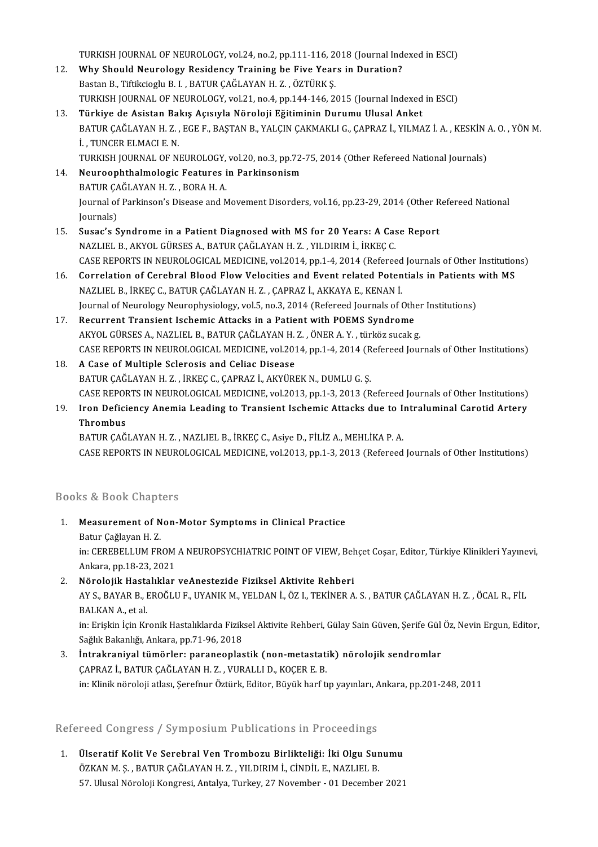TURKISH JOURNAL OF NEUROLOGY, vol.24, no.2, pp.111-116, 2018 (Journal Indexed in ESCI)<br>Why Should Nourology Besidency Training he Five Years in Durstion?

- TURKISH JOURNAL OF NEUROLOGY, vol.24, no.2, pp.111-116, 2018 (Journal Ind<br>12. Why Should Neurology Residency Training be Five Years in Duration? TURKISH JOURNAL OF NEUROLOGY, vol.24, no.2, pp.111-116, 2<br>Why Should Neurology Residency Training be Five Year<br>Bastan B., Tiftikcioglu B. I. , BATUR ÇAĞLAYAN H. Z. , ÖZTÜRK Ş.<br>TURKISH JOURNAL OF NEUROLOGY, vol.21, no.4, np 12. Why Should Neurology Residency Training be Five Years in Duration?<br>Bastan B., Tiftikcioglu B. I. , BATUR ÇAĞLAYAN H. Z. , ÖZTÜRK Ş.<br>TURKISH JOURNAL OF NEUROLOGY, vol.21, no.4, pp.144-146, 2015 (Journal Indexed in ESCI) Bastan B., Tiftikcioglu B. I. , BATUR ÇAĞLAYAN H. Z. , ÖZTÜRK Ş.<br>TURKISH JOURNAL OF NEUROLOGY, vol.21, no.4, pp.144-146, 2015 (Journal Indexed<br>13. Türkiye de Asistan Bakış Açısıyla Nöroloji Eğitiminin Durumu Ulusal Anket<br>P
- TURKISH JOURNAL OF NEUROLOGY, vol.21, no.4, pp.144-146, 2015 (Journal Indexed in ESCI)<br><mark>Türkiye de Asistan Bakış Açısıyla Nöroloji Eğitiminin Durumu Ulusal Anket</mark><br>BATUR ÇAĞLAYAN H. Z. , EGE F., BAŞTAN B., YALÇIN ÇAKMAKLI G Türkiye de Asistan Bal<br>BATUR ÇAĞLAYAN H. Z. ,<br>İ. , TUNCER ELMACI E. N.<br>TURKISH IQURNAL OF NI BATUR ÇAĞLAYAN H. Z. , EGE F., BAŞTAN B., YALÇIN ÇAKMAKLI G., ÇAPRAZ İ., YILMAZ İ. A. , KESKİN *ı*<br>İ. , TUNCER ELMACI E. N.<br>TURKISH JOURNAL OF NEUROLOGY, vol.20, no.3, pp.72-75, 2014 (Other Refereed National Journals)<br>Naur 1. TUNCER ELMACI E. N.<br>TURKISH JOURNAL OF NEUROLOGY, vol.20, no.3, pp.72-75, 2014 (Other Refereed National Journals)<br>14. Neuroophthalmologic Features in Parkinsonism

TURKISH JOURNAL OF NEUROLOGY,<br><mark>Neuroophthalmologic Features i</mark><br>BATUR ÇAĞLAYAN H. Z. , BORA H. A.<br>Journal of Parkinson's Disease and N

Neuroophthalmologic Features in Parkinsonism<br>BATUR ÇAĞLAYAN H. Z. , BORA H. A.<br>Journal of Parkinson's Disease and Movement Disorders, vol.16, pp.23-29, 2014 (Other Refereed National<br>Journals) BATUR ÇA<br>Journal of<br>Journals)<br>Susaa's S 15. Journal of Parkinson's Disease and Movement Disorders, vol.16, pp.23-29, 2014 (Other R<br>15. Susac's Syndrome in a Patient Diagnosed with MS for 20 Years: A Case Report<br>NAZUELE A AVOL CURSES A PATUR CAČLAVAN H.Z. VU DIPI

- Journals)<br>15. Susac's Syndrome in a Patient Diagnosed with MS for 20 Years: A Case Report<br>NAZLIEL B., AKYOL GÜRSES A., BATUR ÇAĞLAYAN H. Z. , YILDIRIM İ., İRKEÇ C. Susac's Syndrome in a Patient Diagnosed with MS for 20 Years: A Case Report<br>NAZLIEL B., AKYOL GÜRSES A., BATUR ÇAĞLAYAN H. Z. , YILDIRIM İ., İRKEÇ C.<br>CASE REPORTS IN NEUROLOGICAL MEDICINE, vol.2014, pp.1-4, 2014 (Refereed NAZLIEL B., AKYOL GÜRSES A., BATUR ÇAĞLAYAN H. Z. , YILDIRIM İ., İRKEÇ C.<br>CASE REPORTS IN NEUROLOGICAL MEDICINE, vol.2014, pp.1-4, 2014 (Refereed Journals of Other Institution<br>16. Correlation of Cerebral Blood Flow Velocit
- CASE REPORTS IN NEUROLOGICAL MEDICINE, vol.2014, pp.1-4, 2014 (Refereed<br>Correlation of Cerebral Blood Flow Velocities and Event related Poten<br>NAZLIEL B., İRKEÇ C., BATUR ÇAĞLAYAN H. Z. , ÇAPRAZ İ., AKKAYA E., KENAN İ.<br>Jour Correlation of Cerebral Blood Flow Velocities and Event related Potentials in Patients<br>NAZLIEL B., İRKEÇ C., BATUR ÇAĞLAYAN H. Z. , ÇAPRAZ İ., AKKAYA E., KENAN İ.<br>Journal of Neurology Neurophysiology, vol.5, no.3, 2014 (Re NAZLIEL B., İRKEÇ C., BATUR ÇAĞLAYAN H. Z., ÇAPRAZ İ., AKKAYA E., KENAN İ.<br>Journal of Neurology Neurophysiology, vol.5, no.3, 2014 (Refereed Journals of Other<br>17. Recurrent Transient Ischemic Attacks in a Patient with POEM

Journal of Neurology Neurophysiology, vol.5, no.3, 2014 (Refereed Journals of Other<br>Recurrent Transient Ischemic Attacks in a Patient with POEMS Syndrome<br>AKYOL GÜRSES A., NAZLIEL B., BATUR ÇAĞLAYAN H. Z. , ÖNER A. Y. , tür 17. Recurrent Transient Ischemic Attacks in a Patient with POEMS Syndrome<br>AKYOL GÜRSES A., NAZLIEL B., BATUR ÇAĞLAYAN H. Z., ÖNER A. Y., türköz sucak g.<br>CASE REPORTS IN NEUROLOGICAL MEDICINE, vol.2014, pp.1-4, 2014 (Refere AKYOL GÜRSES A., NAZLIEL B., BATUR ÇAĞLAYAN H. Z., ÖNER A. Y., türköz sucak g.

- BATUR ÇAĞLAYAN H. Z., İRKEÇ C., ÇAPRAZ İ., AKYÜREK N., DUMLU G. Ş. A Case of Multiple Sclerosis and Celiac Disease<br>BATUR ÇAĞLAYAN H. Z. , İRKEÇ C., ÇAPRAZ İ., AKYÜREK N., DUMLU G. Ş.<br>CASE REPORTS IN NEUROLOGICAL MEDICINE, vol.2013, pp.1-3, 2013 (Refereed Journals of Other Institutions)<br>Ir BATUR ÇAĞLAYAN H. Z. , İRKEÇ C., ÇAPRAZ İ., AKYÜREK N., DUMLU G. Ş.<br>CASE REPORTS IN NEUROLOGICAL MEDICINE, vol.2013, pp.1-3, 2013 (Refereed Journals of Other Institutions)<br>19. Iron Deficiency Anemia Leading to Transient
- CASE REPORT<br>Iron Defici<br>Thrombus<br>PATUR CAČ 19. Iron Deficiency Anemia Leading to Transient Ischemic Attacks due to Intraluminal Carotid Artery<br>Thrombus<br>BATUR CAĞLAYAN H. Z. , NAZLIEL B., İRKEÇ C., Asiye D., FİLİZ A., MEHLİKA P. A.

CASE REPORTS IN NEUROLOGICAL MEDICINE, vol.2013, pp.1-3, 2013 (Refereed Journals of Other Institutions)

### Books&Book Chapters

800ks & Book Chapters<br>1. Measurement of Non-Motor Symptoms in Clinical Practice<br>Retur Coğlavan H.Z 19 & Book Ghapt<br>Measurement of N<br>Batur Çağlayan H. Z.<br>in: CEPEPELLIM EP Measurement of Non-Motor Symptoms in Clinical Practice<br>Batur Çağlayan H. Z.<br>in: CEREBELLUM FROM A NEUROPSYCHIATRIC POINT OF VIEW, Behçet Coşar, Editor, Türkiye Klinikleri Yayınevi,<br>Ankara, pp.19, 22, 2021 Batur Çağlayan H. Z.<br>in: CEREBELLUM FROM<br>Ankara, pp.18-23, 2021<br>Nörolojik Hastalıklar

### in: CEREBELLUM FROM A NEUROPSYCHIATRIC POINT OF VIEW, Beh<br>2. Nörolojik Hastalıklar veAnestezide Fiziksel Aktivite Rehberi<br>2. Nörolojik Hastalıklar veAnestezide Fiziksel Aktivite Rehberi Ankara, pp.18-23, 2021<br>Nörolojik Hastalıklar veAnestezide Fiziksel Aktivite Rehberi<br>AY S., BAYAR B., EROĞLU F., UYANIK M., YELDAN İ., ÖZ I., TEKİNER A. S. , BATUR ÇAĞLAYAN H. Z. , ÖCAL R., FİL<br>RALKAN A. et al <mark>Nörolojik Hasta</mark><br>AY S., BAYAR B., I<br>BALKAN A., et al.<br>in: Erickin İcin Kr AY S., BAYAR B., EROĞLU F., UYANIK M., YELDAN İ., ÖZ I., TEKİNER A. S. , BATUR ÇAĞLAYAN H. Z. , ÖCAL R., FİL<br>BALKAN A., et al.<br>in: Erişkin İçin Kronik Hastalıklarda Fiziksel Aktivite Rehberi, Gülay Sain Güven, Şerife Gül Ö

BALKAN A., et al.<br>in: Erişkin İçin Kronik Hastalıklarda Fizik:<br>Sağlık Bakanlığı, Ankara, pp.71-96, 2018<br>İntrakraniyal tümörleru naraneanlas 3. İntrakraniyal tümörler: paraneoplastik (non-metastatik) nörolojik sendromlar<br>3. İntrakraniyal tümörler: paraneoplastik (non-metastatik) nörolojik sendromlar<br>5. İntrakraniyal tümörler: paraneoplastik (non-metastatik) nör

Sağlık Bakanlığı, Ankara, pp.71-96, 2018<br><mark>İntrakraniyal tümörler: paraneoplastik (non-metastati</mark><br>ÇAPRAZ İ., BATUR ÇAĞLAYAN H. Z. , VURALLI D., KOÇER E. B.<br>in: Klinik nörolaji atlası, Sarafnur Östürk, Editor, Büyük barf tı ÇAPRAZ İ., BATUR ÇAĞLAYAN H. Z. , VURALLI D., KOÇER E. B.<br>in: Klinik nöroloji atlası, Şerefnur Öztürk, Editor, Büyük harf tıp yayınları, Ankara, pp.201-248, 2011

### Refereed Congress / Symposium Publications in Proceedings

lefereed Congress / Symposium Publications in Proceedings<br>1. Ülseratif Kolit Ve Serebral Ven Trombozu Birlikteliği: İki Olgu Sunumu<br>ÖZKAN M.S., BATUR CAĞLAYAN H.Z., YU DIRIM İ. CİNDİL E. NAZLIEL P. Ölseratif Kolit Ve Serebral Ven Trombozu Birlikteliği: İki Olgu Sur<br>ÖZKAN M. Ş. , BATUR ÇAĞLAYAN H. Z. , YILDIRIM İ., CİNDİL E., NAZLIEL B.<br>57 Hiyesi Nöreleji Kongresi Antalya Turkey 27 Nevember - 01 Desember Ülseratif Kolit Ve Serebral Ven Trombozu Birlikteliği: İki Olgu Sunumu<br>ÖZKAN M. Ş. , BATUR ÇAĞLAYAN H. Z. , YILDIRIM İ., CİNDİL E., NAZLIEL B.<br>57. Ulusal Nöroloji Kongresi, Antalya, Turkey, 27 November - 01 December 2021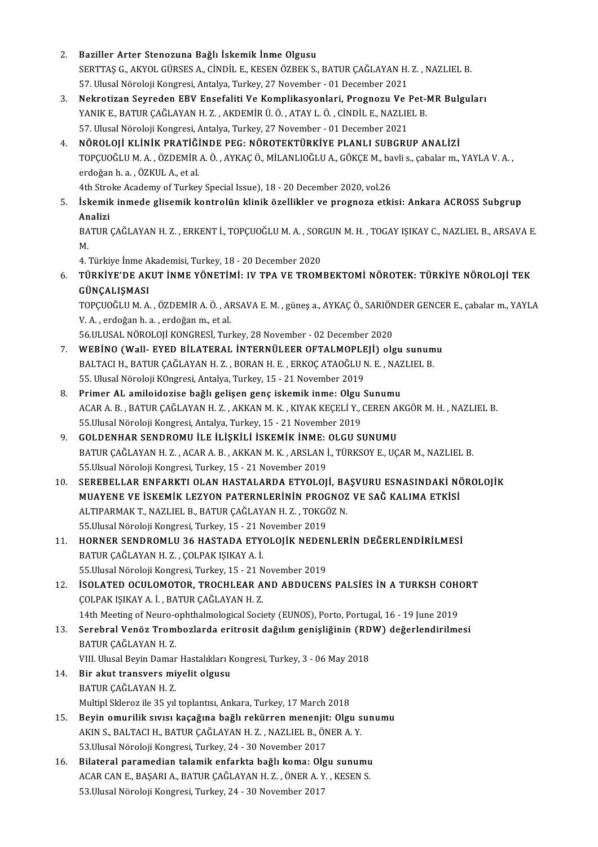2. Baziller Arter Stenozuna Bağlı İskemik İnme Olgusu Baziller Arter Stenozuna Bağlı İskemik İnme Olgusu<br>SERTTAŞ G., AKYOL GÜRSES A., CİNDİL E., KESEN ÖZBEK S., BATUR ÇAĞLAYAN H. Z. , NAZLIEL B.<br>57 Hlusel Nöreleji Kangresi Antelya Turkey 27 Nevember, 91 Desember 2021 Baziller Arter Stenozuna Bağlı İskemik İnme Olgusu<br>SERTTAŞ G., AKYOL GÜRSES A., CİNDİL E., KESEN ÖZBEK S., BATUR ÇAĞLAYAN H.<br>57. Ulusal Nöroloji Kongresi, Antalya, Turkey, 27 November - 01 December 2021<br>Nekratiran Sayradan SERTTAŞ G., AKYOL GÜRSES A., CİNDİL E., KESEN ÖZBEK S., BATUR ÇAĞLAYAN H. Z. , NAZLIEL B.<br>57. Ulusal Nöroloji Kongresi, Antalya, Turkey, 27 November - 01 December 2021<br>3. Nekrotizan Seyreden EBV Ensefaliti Ve Komplikasyonl 57. Ulusal Nöroloji Kongresi, Antalya, Turkey, 27 November - 01 December 2021<br>Nekrotizan Seyreden EBV Ensefaliti Ve Komplikasyonlari, Prognozu Ve Pet-l<br>YANIK E., BATUR ÇAĞLAYAN H. Z. , AKDEMİR Ü. Ö. , ATAY L. Ö. , CİNDİL E

YANIK E., BATUR ÇAĞLAYAN H. Z. , AKDEMİR Ü. Ö. , ATAY L. Ö. , CİNDİL E., NAZLIEL B.<br>57. Ulusal Nöroloji Kongresi, Antalya, Turkey, 27 November - 01 December 2021

YANIK E., BATUR ÇAĞLAYAN H. Z. , AKDEMİR Ü. Ö. , ATAY L. Ö. , CİNDİL E., NAZLIEL B.<br>57. Ulusal Nöroloji Kongresi, Antalya, Turkey, 27 November - 01 December 2021<br>4. NÖROLOJİ KLİNİK PRATİĞİNDE PEG: NÖROTEKTÜRKİYE PLANLI SUB 57. Ulusal Nöroloji Kongresi, Antalya, Turkey, 27 November - 01 December 2021<br>**NÖROLOJİ KLİNİK PRATİĞİNDE PEG: NÖROTEKTÜRKİYE PLANLI SUBGRUP ANALİZİ**<br>TOPÇUOĞLU M. A. , ÖZDEMİR A. Ö. , AYKAÇ Ö., MİLANLIOĞLU A., GÖKÇE M., ba **NÖROLOJİ KLİNİK PRATİĞİ<br>TOPÇUOĞLU M. A. , ÖZDEMİR<br>erdoğan h. a. , ÖZKUL A., et al.<br>4th Stroko Academy of Turkov** TOPÇUOĞLU M. A. , ÖZDEMİR A. Ö. , AYKAÇ Ö., MİLANLIOĞLU A., GÖKÇE M., ba<br>erdoğan h. a. , ÖZKUL A., et al.<br>4th Stroke Academy of Turkey Special Issue), 18 - 20 December 2020, vol.26<br>İskemik inmede glişemik kentrelün klinik

erdoğan h. a. , ÖZKUL A., et al.<br>4th Stroke Academy of Turkey Special Issue), 18 - 20 December 2020, vol.26<br>5. İskemik inmede glisemik kontrolün klinik özellikler ve prognoza etkisi: Ankara ACROSS Subgrup<br>Analizi 4th Stro<br><mark>İskemil</mark><br>Analizi<br>PATUP İskemik inmede glisemik kontrolün klinik özellikler ve prognoza etkisi: Ankara ACROSS Subgrup<br>Analizi<br>BATUR ÇAĞLAYAN H. Z. , ERKENT İ., TOPÇUOĞLU M. A. , SORGUN M. H. , TOGAY IŞIKAY C., NAZLIEL B., ARSAVA E.<br>M

An<br>BA<br>M BATUR ÇAĞLAYAN H. Z. , ERKENT İ., TOPÇUOĞLU M. A. , SOR<br>M.<br>4. Türkiye İnme Akademisi, Turkey, 18 - 20 December 2020<br>TÜRKİYE'DE AKUT İNME YÖNETİMİ. IV TRA VE TROM

### M.<br>4. Türkiye İnme Akademisi, Turkey, 18 - 20 December 2020<br>6. – TÜRKİYE'DE AKUT İNME YÖNETİMİ: IV TPA VE TROMBEKTOMİ NÖROTEK: TÜRKİYE NÖROLOJİ TEK<br>6. – CÜNCALISMASI 4. Türkiye İnme A<br><mark>TÜRKİYE'DE AK</mark><br>GÜNÇALIŞMASI<br>TOPCUOČLU M. A TÜRKİYE'DE AKUT İNME YÖNETİMİ: IV TPA VE TROMBEKTOMİ NÖROTEK: TÜRKİYE NÖROLOJİ TEK<br>GÜNÇALIŞMASI<br>TOPÇUOĞLU M. A. , ÖZDEMİR A. Ö. , ARSAVA E. M. , güneş a., AYKAÇ Ö., SARIÖNDER GENCER E., çabalar m., YAYLA<br>V. A., erdeğen b.

GÜNÇALIŞMASI<br>TOPÇUOĞLU M. A. , ÖZDEMİR A. Ö. , AI<br>V. A. , erdoğan h. a. , erdoğan m., et al.<br>EE III USAL NÖROLOU KONGRESİ Tur 56.ULUSALNÖROLOJİKONGRESİ,Turkey,28November -02December 2020

- V. A. , erdoğan h. a. , erdoğan m., et al.<br>56.ULUSAL NÖROLOJİ KONGRESİ, Turkey, 28 November 02 December 2020<br>7. WEBİNO (Wall- EYED BİLATERAL İNTERNÜLEER OFTALMOPLEJİ) olgu sunumu<br>PALTACLH PATUR CAĞLAYAN H. 7 PORAN 56.ULUSAL NÖROLOJİ KONGRESİ, Turkey, 28 November - 02 December 2020<br>WEBİNO (Wall- EYED BİLATERAL İNTERNÜLEER OFTALMOPLEJİ) olgu sunum<br>BALTACI H., BATUR ÇAĞLAYAN H. Z. , BORAN H. E. , ERKOÇ ATAOĞLU N. E. , NAZLIEL B.<br>55 Ulu BALTACI H., BATUR ÇAĞLAYAN H. Z. , BORAN H. E. , ERKOÇ ATAOĞLU N. E. , NAZLIEL B.<br>55. Ulusal Nöroloji KOngresi, Antalya, Turkey, 15 - 21 November 2019 BALTACI H., BATUR ÇAĞLAYAN H. Z., BORAN H. E., ERKOÇ ATAOĞLU N. E., NAZ<br>55. Ulusal Nöroloji KOngresi, Antalya, Turkey, 15 - 21 November 2019<br>8. Primer AL amiloidozise bağlı gelişen genç iskemik inme: Olgu Sunumu
- ACAR A. B. , BATUR ÇAĞLAYAN H. Z. , AKKAN M. K. , KIYAK KEÇELİ Y., CEREN AKGÖR M. H. , NAZLIEL B.<br>55.Ulusal Nöroloji Kongresi, Antalya, Turkey, 15 21 November 2019 Primer AL amiloidozise bağlı gelişen genç iskemik inme: Olgu<br>ACAR A. B. , BATUR ÇAĞLAYAN H. Z. , AKKAN M. K. , KIYAK KEÇELİ Y., (<br>55.Ulusal Nöroloji Kongresi, Antalya, Turkey, 15 - 21 November 2019<br>COLDENHAR SENDROMILİLE İ
- 9. GOLDENHAR SENDROMU İLE İLİŞKİLİ İSKEMİK İNME: OLGU SUNUMU BATUR ÇAĞLAYANH.Z., ACAR A.B., AKKANM.K., ARSLANİ., TÜRKSOYE., UÇARM., NAZLIEL B. 55. Ulsual Nöroloji Kongresi, Turkey, 15 - 21 November 2019 BATUR ÇAĞLAYAN H. Z. , ACAR A. B. , AKKAN M. K. , ARSLAN İ., TÜRKSOY E., UÇAR M., NAZLIEL B.<br>55.Ulsual Nöroloji Kongresi, Turkey, 15 - 21 November 2019<br>10. SEREBELLAR ENFARKTI OLAN HASTALARDA ETYOLOJİ, BAŞVURU ESNASINDAKİ
- 55.Ulsual Nöroloji Kongresi, Turkey, 15 21 November 2019<br>SEREBELLAR ENFARKTI OLAN HASTALARDA ETYOLOJİ, BAŞVURU ESNASINDAKİ NÖ<br>MUAYENE VE İSKEMİK LEZYON PATERNLERİNİN PROGNOZ VE SAĞ KALIMA ETKİSİ<br>ALTIBARMAK T. NAZLIEL B. SEREBELLAR ENFARKTI OLAN HASTALARDA ETYOLOJİ, BA<br>MUAYENE VE İSKEMİK LEZYON PATERNLERİNİN PROGNOZ<br>ALTIPARMAK T., NAZLIEL B., BATUR ÇAĞLAYAN H. Z. , TOKGÖZ N.<br>EE Ulusal Nöroloji Kongresi Turkey, 15 , 21 November 2019 MUAYENE VE İSKEMİK LEZYON PATERNLERİNİN PROG<br>ALTIPARMAK T., NAZLIEL B., BATUR ÇAĞLAYAN H. Z. , TOKGÖ<br>55.Ulusal Nöroloji Kongresi, Turkey, 15 - 21 November 2019<br>HORNER SENDROMLU 26 HASTADA ETYOLOUK NEDEN ALTIPARMAK T., NAZLIEL B., BATUR ÇAĞLAYAN H. Z. , TOKGÖZ N.<br>55.Ulusal Nöroloji Kongresi, Turkey, 15 - 21 November 2019<br>11. HORNER SENDROMLU 36 HASTADA ETYOLOJİK NEDENLERİN DEĞERLENDİRİLMESİ<br>BATUR GAĞLAYAN H. Z. GOLPAK
- 55.Ulusal Nöroloji Kongresi, Turkey, 15 21 November 2019<br>HORNER SENDROMLU 36 HASTADA ETYOLOJİK NEDEI<br>BATUR ÇAĞLAYAN H. Z. , ÇOLPAK IŞIKAY A. İ.<br>55.Ulusal Nöroloji Kongresi, Turkey, 15 21 November 2019 HORNER SENDROMLU 36 HASTADA ETYOLOJİK NEDEN<br>BATUR ÇAĞLAYAN H. Z. , ÇOLPAK IŞIKAY A. İ.<br>55.Ulusal Nöroloji Kongresi, Turkey, 15 - 21 November 2019<br>ISOLATED OCULOMOTOR, TROCHLEAR AND ARDUCENS BATUR ÇAĞLAYAN H. Z. , ÇOLPAK IŞIKAY A. İ.<br>55.Ulusal Nöroloji Kongresi, Turkey, 15 - 21 November 2019<br>12. İSOLATED OCULOMOTOR, TROCHLEAR AND ABDUCENS PALSİES İN A TURKSH COHORT<br>COLPAK ISIKAY A. İ. PATUR CAĞLAYAN H. Z
- ÇOLPAKIŞIKAYA. İ. ,BATURÇAĞLAYANH.Z. ISOLATED OCULOMOTOR, TROCHLEAR AND ABDUCENS PALSIES IN A TURKSH COHO<br>COLPAK IŞIKAY A. İ. , BATUR ÇAĞLAYAN H. Z.<br>14th Meeting of Neuro-ophthalmological Society (EUNOS), Porto, Portugal, 16 - 19 June 2019<br>Sarahral Vanës Tram
	- 14th Meeting of Neuro-ophthalmological Society (EUNOS), Porto, Portugal, 16 19 June 2019
- 13. Serebral Venöz Trombozlarda eritrosit dağılım genişliğinin (RDW) değerlendirilmesi<br>BATUR ÇAĞLAYAN H. Z. Serebral Venöz Trombozlarda eritrosit dağılım genişliğinin (RD<br>BATUR ÇAĞLAYAN H. Z.<br>VIII. Ulusal Beyin Damar Hastalıkları Kongresi, Turkey, 3 - 06 May 2018<br>Bir akut transvers miyelit alsusu

- 14. Bir akut transvers miyelit olgusu<br>BATUR CAĞLAYAN H. Z. VIII. Ulusal Beyin Damar<br><mark>Bir akut transvers mi</mark><br>BATUR ÇAĞLAYAN H. Z.<br>Multipl Sklarez ile 25 yıl Multipl Skleroz ile 35 yıl toplantısı, Ankara, Turkey, 17 March 2018
- 15. Beyin omurilik sıvısı kaçağına bağlı rekürren menenjit: Olgu sunumu Multipl Skleroz ile 35 yıl toplantısı, Ankara, Turkey, 17 March 2018<br>Beyin omurilik sıvısı kaçağına bağlı rekürren menenjit: Olgu s<br>AKIN S., BALTACI H., BATUR ÇAĞLAYAN H. Z. , NAZLIEL B., ÖNER A. Y.<br>52 Ulusal Nörolaji Kans Beyin omurilik sıvısı kaçağına bağlı rekürren menenjit<br>AKIN S., BALTACI H., BATUR ÇAĞLAYAN H. Z. , NAZLIEL B., ÖN<br>53.Ulusal Nöroloji Kongresi, Turkey, 24 - 30 November 2017<br>Bilataral naramadian talamik anfarkta bağlı kama: 16. BALTACI H., BATUR ÇAĞLAYAN H. Z., NAZLIEL B., ÖNER A. Y.<br>16. Bilateral paramedian talamik enfarkta bağlı koma: Olgu sunumu<br>16. Bilateral paramedian talamik enfarkta bağlı koma: Olgu sunumu
- 53.Ulusal Nöroloji Kongresi, Turkey, 24 30 November 2017<br>Bilateral paramedian talamik enfarkta bağlı koma: Olgu sunumu<br>ACAR CAN E., BAŞARI A., BATUR ÇAĞLAYAN H. Z. , ÖNER A. Y. , KESEN S. 53. Ulusal Nöroloji Kongresi, Turkey, 24 - 30 November 2017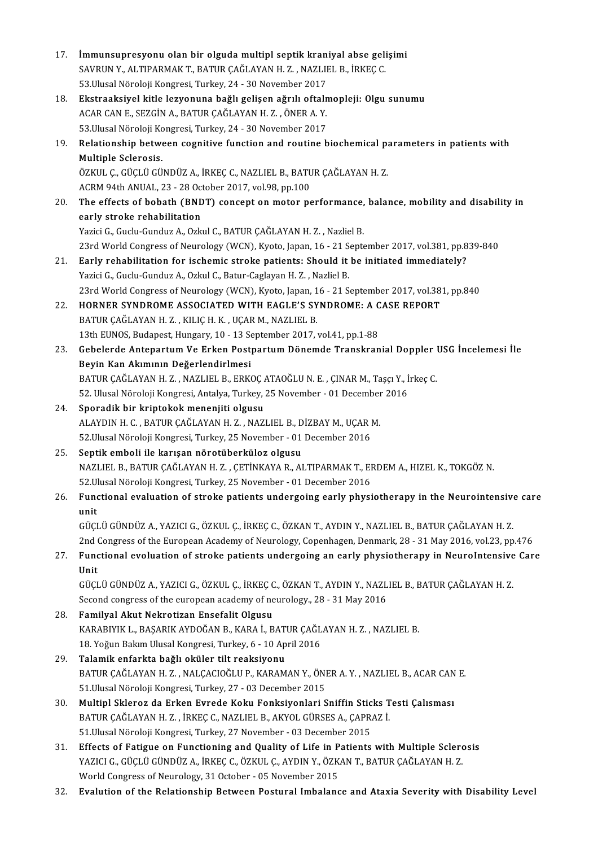| 17. | İmmunsupresyonu olan bir olguda multipl septik kraniyal abse gelişimi<br>SAVRUN Y., ALTIPARMAK T., BATUR ÇAĞLAYAN H.Z., NAZLIEL B., İRKEÇ C. |
|-----|----------------------------------------------------------------------------------------------------------------------------------------------|
|     | 53. Ulusal Nöroloji Kongresi, Turkey, 24 - 30 November 2017                                                                                  |
| 18. | Ekstraaksiyel kitle lezyonuna bağlı gelişen ağrılı oftalmopleji: Olgu sunumu                                                                 |
|     | ACAR CAN E., SEZGİN A., BATUR ÇAĞLAYAN H. Z., ÖNER A. Y.                                                                                     |
|     | 53. Ulusal Nöroloji Kongresi, Turkey, 24 - 30 November 2017                                                                                  |
| 19. | Relationship between cognitive function and routine biochemical parameters in patients with                                                  |
|     | Multiple Sclerosis.                                                                                                                          |
|     | ÖZKUL Ç., GÜÇLÜ GÜNDÜZ A., İRKEÇ C., NAZLIEL B., BATUR ÇAĞLAYAN H. Z.                                                                        |
|     | ACRM 94th ANUAL, 23 - 28 October 2017, vol 98, pp 100                                                                                        |
| 20. | The effects of bobath (BNDT) concept on motor performance, balance, mobility and disability in                                               |
|     | early stroke rehabilitation                                                                                                                  |
|     | Yazici G., Guclu-Gunduz A., Ozkul C., BATUR ÇAĞLAYAN H.Z., Nazliel B.                                                                        |
|     | 23rd World Congress of Neurology (WCN), Kyoto, Japan, 16 - 21 September 2017, vol.381, pp.839-840                                            |
| 21  | Early rehabilitation for ischemic stroke patients: Should it be initiated immediately?                                                       |
|     | Yazici G., Guclu-Gunduz A., Ozkul C., Batur-Caglayan H. Z., Nazliel B.                                                                       |
|     | 23rd World Congress of Neurology (WCN), Kyoto, Japan, 16 - 21 September 2017, vol.381, pp.840                                                |
| 22. | HORNER SYNDROME ASSOCIATED WITH EAGLE'S SYNDROME: A CASE REPORT                                                                              |
|     | BATUR ÇAĞLAYAN H.Z., KILIÇ H.K., UÇAR M., NAZLIEL B.                                                                                         |
|     | 13th EUNOS, Budapest, Hungary, 10 - 13 September 2017, vol.41, pp.1-88                                                                       |
| 23  | Gebelerde Antepartum Ve Erken Postpartum Dönemde Transkranial Doppler USG İncelemesi İle                                                     |
|     | Beyin Kan Akımının Değerlendirlmesi                                                                                                          |
|     | BATUR ÇAĞLAYAN H.Z., NAZLIEL B., ERKOÇ ATAOĞLU N. E., ÇINAR M., Taşçı Y., İrkeç C.                                                           |
|     | 52. Ulusal Nöroloji Kongresi, Antalya, Turkey, 25 November - 01 December 2016                                                                |
| 24. | Sporadik bir kriptokok menenjiti olgusu                                                                                                      |
|     | ALAYDIN H. C., BATUR ÇAĞLAYAN H. Z., NAZLIEL B., DİZBAY M., UÇAR M.                                                                          |
|     | 52 Ulusal Nöroloji Kongresi, Turkey, 25 November - 01 December 2016                                                                          |
| 25. | Septik emboli ile karışan nörotüberküloz olgusu                                                                                              |
|     | NAZLIEL B., BATUR ÇAĞLAYAN H. Z., ÇETİNKAYA R., ALTIPARMAK T., ERDEM A., HIZEL K., TOKGÖZ N.                                                 |
|     | 52 Ulusal Nöroloji Kongresi, Turkey, 25 November - 01 December 2016                                                                          |
| 26. | Functional evaluation of stroke patients undergoing early physiotherapy in the Neurointensive care                                           |
|     | unit                                                                                                                                         |
|     | GÜÇLÜ GÜNDÜZ A., YAZICI G., ÖZKUL Ç., İRKEÇ C., ÖZKAN T., AYDIN Y., NAZLIEL B., BATUR ÇAĞLAYAN H. Z.                                         |
|     | 2nd Congress of the European Academy of Neurology, Copenhagen, Denmark, 28 - 31 May 2016, vol.23, pp.476                                     |
| 27. | Functional evoluation of stroke patients undergoing an early physiotherapy in NeuroIntensive Care                                            |
|     | Unit                                                                                                                                         |
|     | GÜÇLÜ GÜNDÜZ A., YAZICI G., ÖZKUL Ç., İRKEÇ C., ÖZKAN T., AYDIN Y., NAZLIEL B., BATUR ÇAĞLAYAN H. Z.                                         |
|     | Second congress of the european academy of neurology., 28 - 31 May 2016                                                                      |
| 28. | Familyal Akut Nekrotizan Ensefalit Olgusu                                                                                                    |
|     | KARABIYIK L., BAŞARIK AYDOĞAN B., KARA İ., BATUR ÇAĞLAYAN H. Z., NAZLIEL B.                                                                  |
|     | 18. Yoğun Bakım Ulusal Kongresi, Turkey, 6 - 10 April 2016                                                                                   |
| 29. | Talamik enfarkta bağlı oküler tilt reaksiyonu                                                                                                |
|     | BATUR ÇAĞLAYAN H.Z., NALÇACIOĞLU P., KARAMAN Y., ÖNER A.Y., NAZLIEL B., ACAR CAN E.                                                          |
|     | 51 Ulusal Nöroloji Kongresi, Turkey, 27 - 03 December 2015                                                                                   |
| 30. | Multipl Skleroz da Erken Evrede Koku Fonksiyonlari Sniffin Sticks Testi Çalısması                                                            |
|     | BATUR ÇAĞLAYAN H.Z., İRKEÇ C., NAZLIEL B., AKYOL GÜRSES A., ÇAPRAZ İ.                                                                        |
|     | 51. Ulusal Nöroloji Kongresi, Turkey, 27 November - 03 December 2015                                                                         |
| 31. | Effects of Fatigue on Functioning and Quality of Life in Patients with Multiple Sclerosis                                                    |
|     | YAZICI G., GÜÇLÜ GÜNDÜZ A., İRKEÇ C., ÖZKUL Ç., AYDIN Y., ÖZKAN T., BATUR ÇAĞLAYAN H. Z.                                                     |
|     | World Congress of Neurology, 31 October - 05 November 2015                                                                                   |
| 32. | Evalution of the Relationship Between Postural Imbalance and Ataxia Severity with Disability Level                                           |
|     |                                                                                                                                              |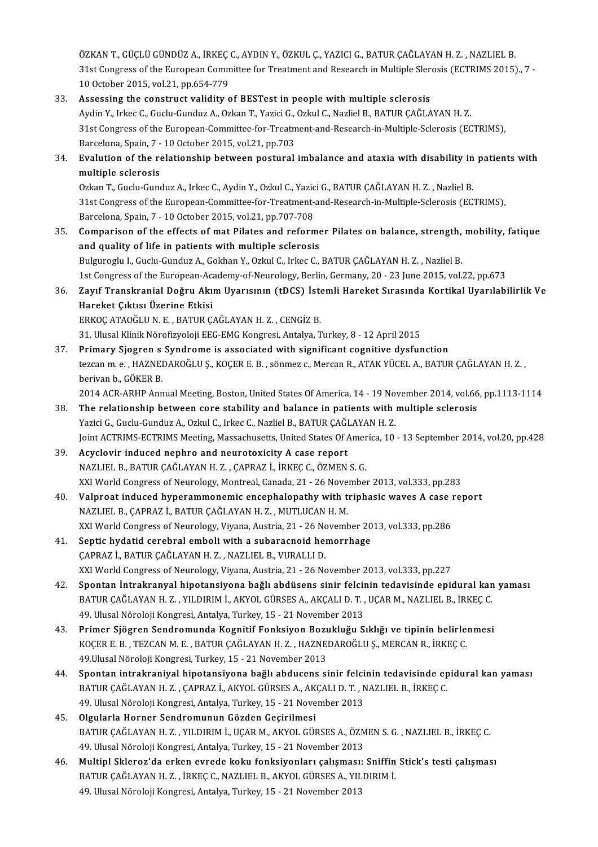ÖZKAN T., GÜÇLÜ GÜNDÜZ A., İRKEÇ C., AYDIN Y., ÖZKUL Ç., YAZICI G., BATUR ÇAĞLAYAN H. Z. , NAZLIEL B.<br>21st Congress of the European Committee for Treatment and Besearsh in Multiple Slapesis (ECTRIMS 2015) ÖZKAN T., GÜÇLÜ GÜNDÜZ A., İRKEÇ C., AYDIN Y., ÖZKUL Ç., YAZICI G., BATUR ÇAĞLAYAN H. Z. , NAZLIEL B.<br>31st Congress of the European Committee for Treatment and Research in Multiple Slerosis (ECTRIMS 2015)., 7 -<br>10 Ostaber ÖZKAN T., GÜÇLÜ GÜNDÜZ A., İRKEÇ<br>31st Congress of the European Comm<br>10 October 2015, vol.21, pp.654-779<br>Assossing the construct volidity o 31st Congress of the European Committee for Treatment and Research in Multiple Slerosis (ECTRIMS 2015)., 7 -<br>10 October 2015, vol.21, pp.654-779<br>33. Assessing the construct validity of BESTest in people with multiple scler

10 October 2015, vol.21, pp.654-779<br>Assessing the construct validity of BESTest in people with multiple sclerosis<br>Aydin Y., Irkec C., Guclu-Gunduz A., Ozkan T., Yazici G., Ozkul C., Nazliel B., BATUR ÇAĞLAYAN H. Z.<br>21st Co 31st Congress of the European-Committee-for-Treatment-and-Research-in-Multiple-Sclerosis (ECTRIMS), Aydin Y., Irkec C., Guclu-Gunduz A., Ozkan T., Yazici G.,<br>31st Congress of the European-Committee-for-Treatm<br>Barcelona, Spain, 7 - 10 October 2015, vol.21, pp.703<br>Evalution of the relationship between nostural 34. Evalution of the relationship between postural imbalance and ataxia with disability in patients with Barcelona, Spain, 7 - 10 October 2015, vol.21, pp.703 Evalution of the relationship between postural imbalance and ataxia with disability in<br>multiple sclerosis<br>Ozkan T., Guclu-Gunduz A., Irkec C., Aydin Y., Ozkul C., Yazici G., BATUR ÇAĞLAYAN H. Z. , Nazliel B.<br>21st Congress

31st Congress of the European-Committee-for-Treatment-and-Research-in-Multiple-Sclerosis (ECTRIMS),<br>Barcelona, Spain, 7 - 10 October 2015, vol.21, pp.707-708 Ozkan T., Guclu-Gunduz A., Irkec C., Aydin Y., Ozkul C., Yazic<br>31st Congress of the European-Committee-for-Treatment-<br>Barcelona, Spain, 7 - 10 October 2015, vol.21, pp.707-708<br>Comparison of the offects of met Bilates and n 31st Congress of the European-Committee-for-Treatment-and-Research-in-Multiple-Sclerosis (ECTRIMS),<br>Barcelona, Spain, 7 - 10 October 2015, vol.21, pp.707-708<br>35. Comparison of the effects of mat Pilates and reformer Pilate

- and quality of life in patients with multiple sclerosis<br>Bulguroglu I., Guclu-Gunduz A., Gokhan Y., Ozkul C., Irkec C., BATUR ÇAĞLAYAN H. Z. , Nazliel B. Comparison of the effects of mat Pilates and reformer Pilates on balance, strength,<br>and quality of life in patients with multiple sclerosis<br>Bulguroglu L, Guclu-Gunduz A., Gokhan Y., Ozkul C., Irkec C., BATUR ÇAĞLAYAN H. Z. 1st Congress of the European-Academy-of-Neurology, Berlin, Germany, 20 - 23 June 2015, vol.22, pp.673 Bulguroglu I., Guclu-Gunduz A., Gokhan Y., Ozkul C., Irkec C., BATUR ÇAĞLAYAN H. Z. , Nazliel B.<br>1st Congress of the European-Academy-of-Neurology, Berlin, Germany, 20 - 23 June 2015, vol.22, pp.673<br>36. Zayıf Transkran
- 1st Congress of the European-Aca<br>Zayıf Transkranial Doğru Akı<br>Hareket Çıktısı Üzerine Etkisi<br>ERKOC ATAQĞLUN E. BATUR C Zayıf Transkranial Doğru Akım Uyarısının (tDCS) İste<br>Hareket Çıktısı Üzerine Etkisi<br>ERKOÇ ATAOĞLU N.E., BATUR ÇAĞLAYAN H.Z., CENGİZ B.<br>21 Hiveal Kinik Nörefiryeleji EEC EMC Kongresi, Antalya T Hareket Çıktısı Üzerine Etkisi<br>ERKOÇ ATAOĞLU N. E. , BATUR ÇAĞLAYAN H. Z. , CENGİZ B.<br>31. Ulusal Klinik Nörofizyoloji EEG-EMG Kongresi, Antalya, Turkey, 8 - 12 April 2015
- ERKOÇ ATAOĞLU N. E., BATUR ÇAĞLAYAN H. Z., CENGİZ B.<br>31. Ulusal Klinik Nörofizyoloji EEG-EMG Kongresi, Antalya, Turkey, 8 12 April 2015<br>37. Primary Sjogren s Syndrome is associated with significant cognitive dysfunction<br> tezcan m. e. , HAZNEDAROĞLU Ş., KOÇER E. B. , sönmez c., Mercan R., ATAK YÜCEL A., BATUR ÇAĞLAYAN H. Z. ,<br>berivan b., GÖKER B. Pri<mark>mary Sjogren s</mark><br>tezcan m. e. , HAZNEI<br>berivan b., GÖKER B.<br>2014 ACP APHP APP

2014 ACR-ARHP Annual Meeting, Boston, United States Of America, 14 - 19 November 2014, vol.66, pp.1113-1114

- 38. The relationship between core stability and balance in patients with multiple sclerosis 2014 ACR-ARHP Annual Meeting, Boston, United States Of America, 14 - 19 No.<br>The relationship between core stability and balance in patients with relationship between core stability and balance in patients with relations of Joint ACTRIMS-ECTRIMS Meeting, Massachusetts, United States Of America, 10 - 13 September 2014, vol.20, pp.428<br>Acyclovir induced nephro and neurotoxicity A case report Yazici G., Guclu-Gunduz A., Ozkul C., Irkec C., Nazliel B., BATUR ÇAĞI<br>Joint ACTRIMS-ECTRIMS Meeting, Massachusetts, United States Of A<br>39. Acyclovir induced nephro and neurotoxicity A case report<br>NAZLIEL B. BATUR CAĞLAYAN
- NAZLIELB.,BATURÇAĞLAYANH.Z. ,ÇAPRAZ İ., İRKEÇC.,ÖZMENS.G. XXIWorldCongressofNeurology,Montreal,Canada,21-26November 2013,vol.333,pp.283 NAZLIEL B., BATUR ÇAĞLAYAN H. Z. , ÇAPRAZ İ., İRKEÇ C., ÖZMEN S. G.<br>XXI World Congress of Neurology, Montreal, Canada, 21 - 26 November 2013, vol.333, pp.283<br>40. Valproat induced hyperammonemic encephalopathy with triph
- NAZLIELB.,ÇAPRAZ İ.,BATURÇAĞLAYANH.Z. ,MUTLUCANH.M. Valproat induced hyperammonemic encephalopathy with triphasic waves A case in an explored and the Congress of Neurology, Viyana, Austria, 21 - 26 November 2013, vol.333, pp.286<br>XXI World Congress of Neurology, Viyana, Aust XXI World Congress of Neurology, Viyana, Austria, 21 - 26 November 2013, vol.333, pp.286<br>41. Septic hydatid cerebral emboli with a subaracnoid hemorrhage
- ÇAPRAZ İ., BATUR ÇAĞLAYAN H.Z., NAZLIEL B., VURALLI D. XXIWorldCongressofNeurology,Viyana,Austria,21-26November 2013,vol.333,pp.227
- 42. Spontan İntrakranyal hipotansiyona bağlı abdüsens sinir felcinin tedavisinde epidural kan yaması XXI World Congress of Neurology, Viyana, Austria, 21 - 26 November 2013, vol.333, pp.227<br>Spontan İntrakranyal hipotansiyona bağlı abdüsens sinir felcinin tedavisinde epidural kan<br>BATUR ÇAĞLAYAN H. Z. , YILDIRIM İ., AKYOL G Spontan İntrakranyal hipotansiyona bağlı abdüsens sinir felcii<br>BATUR ÇAĞLAYAN H. Z. , YILDIRIM İ., AKYOL GÜRSES A., AKÇALI D. T. ,<br>49. Ulusal Nöroloji Kongresi, Antalya, Turkey, 15 - 21 November 2013<br>Primer Siğaren Sondrom BATUR ÇAĞLAYAN H. Z. , YILDIRIM İ., AKYOL GÜRSES A., AKÇALI D. T. , UÇAR M., NAZLIEL B., İRKEÇ C.<br>49. Ulusal Nöroloji Kongresi, Antalya, Turkey, 15 - 21 November 2013<br>43. Primer Sjögren Sendromunda Kognitif Fonksiyon Bozuk
- 49. Ulusal Nöroloji Kongresi, Antalya, Turkey, 15 21 November 2013<br>Primer Sjögren Sendromunda Kognitif Fonksiyon Bozukluğu Sıklığı ve tipinin belirle:<br>KOÇER E. B. , TEZCAN M. E. , BATUR ÇAĞLAYAN H. Z. , HAZNEDAROĞLU Ş., Primer Sjögren Sendromunda Kognitif Fonksiyon Boz<mark>t</mark><br>KOÇER E. B. , TEZCAN M. E. , BATUR ÇAĞLAYAN H. Z. , HAZNE<br>49.Ulusal Nöroloji Kongresi, Turkey, 15 - 21 November 2013<br>Spontan intrakraniyal binotansiyona bağlı abdusans s KOÇER E. B., TEZCAN M. E., BATUR ÇAĞLAYAN H. Z., HAZNEDAROĞLU Ş., MERCAN R., İRKEÇ C.<br>49.Ulusal Nöroloji Kongresi, Turkey, 15 - 21 November 2013<br>44. Spontan intrakraniyal hipotansiyona bağlı abducens sinir felcinin tedavis
- 49.Ulusal Nöroloji Kongresi, Turkey, 15 21 November 2013<br>Spontan intrakraniyal hipotansiyona bağlı abducens sinir felcinin tedavisinde ep<br>BATUR ÇAĞLAYAN H. Z. , ÇAPRAZ İ., AKYOL GÜRSES A., AKÇALI D. T. , NAZLIEL B., İRKE Spontan intrakraniyal hipotansiyona bağlı abducens sinir felci<br>BATUR ÇAĞLAYAN H. Z. , ÇAPRAZ İ., AKYOL GÜRSES A., AKÇALI D. T. , N<br>49. Ulusal Nöroloji Kongresi, Antalya, Turkey, 15 - 21 November 2013<br>Olaylarla Harnar Sandr BATUR ÇAĞLAYAN H. Z. , ÇAPRAZ İ., AKYOL GÜRSES A., AKÇALI D. T. , NAZLIEL B., İRKEÇ C.<br>49. Ulusal Nöroloji Kongresi, Antalya, Turkey, 15 - 21 November 2013<br>45. Olgularla Horner Sendromunun Gözden Geçirilmesi
- 49. Ulusal Nöroloji Kongresi, Antalya, Turkey, 15 21 November 2013<br><mark>Olgularla Horner Sendromunun Gözden Geçirilmesi</mark><br>BATUR ÇAĞLAYAN H. Z. , YILDIRIM İ., UÇAR M., AKYOL GÜRSES A., ÖZMEN S. G. , NAZLIEL B., İRKEÇ C.<br>40. Ul Olgularla Horner Sendromunun Gözden Geçirilmesi<br>BATUR ÇAĞLAYAN H. Z. , YILDIRIM İ., UÇAR M., AKYOL GÜRSES A., ÖZM<br>49. Ulusal Nöroloji Kongresi, Antalya, Turkey, 15 - 21 November 2013<br>Multinl Sklaresı'da arkan surada kaku f BATUR ÇAĞLAYAN H. Z. , YILDIRIM İ., UÇAR M., AKYOL GÜRSES A., ÖZMEN S. G. , NAZLIEL B., İRKEÇ C.<br>49. Ulusal Nöroloji Kongresi, Antalya, Turkey, 15 - 21 November 2013<br>46. Multipl Skleroz'da erken evrede koku fonksiyonları ç
- 49. Ulusal Nöroloji Kongresi, Antalya, Turkey, 15 21 November 2013<br>Multipl Skleroz'da erken evrede koku fonksiyonları çalışması: Sniffin<br>BATUR ÇAĞLAYAN H. Z. , İRKEÇ C., NAZLIEL B., AKYOL GÜRSES A., YILDIRIM İ.<br>40 Ulusal Multipl Skleroz'da erken evrede koku fonksiyonları çalışması: Sniffin Stick's testi çalışması<br>BATUR ÇAĞLAYAN H. Z. , İRKEÇ C., NAZLIEL B., AKYOL GÜRSES A., YILDIRIM İ.<br>49. Ulusal Nöroloji Kongresi, Antalya, Turkey, 15 - 21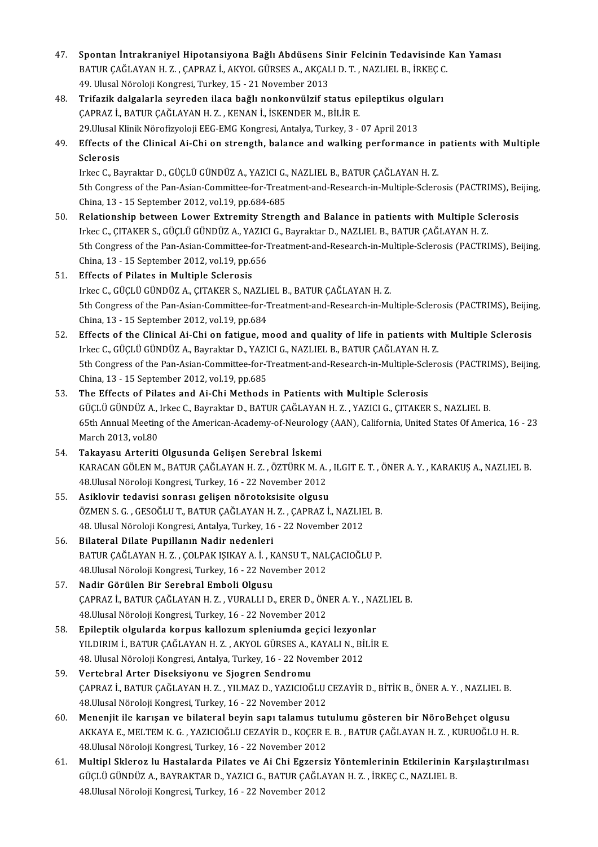- 47. Spontan İntrakraniyel Hipotansiyona Bağlı Abdüsens Sinir Felcinin Tedavisinde Kan Yaması Spontan İntrakraniyel Hipotansiyona Bağlı Abdüsens Sinir Felcinin Tedavisinde<br>BATUR ÇAĞLAYAN H. Z. , ÇAPRAZ İ., AKYOL GÜRSES A., AKÇALI D. T. , NAZLIEL B., İRKEÇ C.<br>40 Hlusel Nöreleji Kongresi Turkey 15 - 21 Nevember 2012 Spontan İntrakraniyel Hipotansiyona Bağlı Abdüsens S<br>BATUR ÇAĞLAYAN H. Z. , ÇAPRAZ İ., AKYOL GÜRSES A., AKÇAL<br>49. Ulusal Nöroloji Kongresi, Turkey, 15 - 21 November 2013<br>Trifozik dalgalarla seyreden ilase bağlı nankonyülsi BATUR ÇAĞLAYAN H. Z. , ÇAPRAZ İ., AKYOL GÜRSES A., AKÇALI D. T. , NAZLIEL B., İRKEÇ C<br>49. Ulusal Nöroloji Kongresi, Turkey, 15 - 21 November 2013<br>48. Trifazik dalgalarla seyreden ilaca bağlı nonkonvülzif status epilept
- 49. Ulusal Nöroloji Kongresi, Turkey, 15 21 November 2013<br>Trifazik dalgalarla seyreden ilaca bağlı nonkonvülzif status epileptikus olg<br>ÇAPRAZ İ., BATUR ÇAĞLAYAN H. Z. , KENAN İ., İSKENDER M., BİLİR E.<br>29.Ulusal Klinik Nö 48. Trifazik dalgalarla seyreden ilaca bağlı nonkonvülzif status epileptikus olguları (CAPRAZ İ., BATUR ÇAĞLAYAN H. Z. , KENAN İ., İSKENDER M., BİLİR E.<br>29.Ulusal Klinik Nörofizyoloji EEG-EMG Kongresi, Antalya, Turkey, 3 - 07 April 2013<br>49. Effects of the Clinical Ai-Chi on strength, balance and walking
- 29.Ulusal k<br>Effects of<br>Sclerosis<br>Irkes G. Bs Effects of the Clinical Ai-Chi on strength, balance and walking performance in<br>Sclerosis<br>Irkec C., Bayraktar D., GÜÇLÜ GÜNDÜZ A., YAZICI G., NAZLIEL B., BATUR ÇAĞLAYAN H. Z.<br>Eth Congress of the Pan Asian Committee for Trea

Sclerosis<br>Irkec C., Bayraktar D., GÜÇLÜ GÜNDÜZ A., YAZICI G., NAZLIEL B., BATUR ÇAĞLAYAN H. Z.<br>5th Congress of the Pan-Asian-Committee-for-Treatment-and-Research-in-Multiple-Sclerosis (PACTRIMS), Beijing,<br>China 13, 15 Sept Irkec C., Bayraktar D., GÜÇLÜ GÜNDÜZ A., YAZICI G.,<br>5th Congress of the Pan-Asian-Committee-for-Treat<br>China, 13 - 15 September 2012, vol.19, pp.684-685<br>Relationship between Lawer Extremity Streng 5th Congress of the Pan-Asian-Committee-for-Treatment-and-Research-in-Multiple-Sclerosis (PACTRIMS), Be<br>China, 13 - 15 September 2012, vol.19, pp.684-685<br>50. Relationship between Lower Extremity Strength and Balance in pat

- China, 13 15 September 2012, vol.19, pp.684-685<br>Relationship between Lower Extremity Strength and Balance in patients with Multiple Sclerosis<br>Irkec C., ÇITAKER S., GÜÇLÜ GÜNDÜZ A., YAZICI G., Bayraktar D., NAZLIEL B., BA Relationship between Lower Extremity Strength and Balance in patients with Multiple Sclerosis<br>Irkec C., ÇITAKER S., GÜÇLÜ GÜNDÜZ A., YAZICI G., Bayraktar D., NAZLIEL B., BATUR ÇAĞLAYAN H. Z.<br>5th Congress of the Pan-Asian-C Irkec C., ÇITAKER S., GÜÇLÜ GÜNDÜZ A., YAZICI<br>5th Congress of the Pan-Asian-Committee-for-1<br>China, 13 - 15 September 2012, vol.19, pp.656<br>Effects of Bilates in Multinle Selenesis 5th Congress of the Pan-Asian-Committee-f<br>China, 13 - 15 September 2012, vol.19, pp.6<br>51. Effects of Pilates in Multiple Sclerosis<br>Inles C. CUCLU CUNDUZ A. CITAKER S. NA
- China, 13 15 September 2012, vol.19, pp.656<br>Effects of Pilates in Multiple Sclerosis<br>Irkec C., GÜÇLÜ GÜNDÜZ A., ÇITAKER S., NAZLIEL B., BATUR ÇAĞLAYAN H. Z.<br>Eth Congress of the Pen-Asian Committee for Treatment and Pessa Effects of Pilates in Multiple Sclerosis<br>Irkec C., GÜÇLÜ GÜNDÜZ A., ÇITAKER S., NAZLIEL B., BATUR ÇAĞLAYAN H. Z.<br>5th Congress of the Pan-Asian-Committee-for-Treatment-and-Research-in-Multiple-Sclerosis (PACTRIMS), Beijing, Irkec C., GÜÇLÜ GÜNDÜZ A., ÇITAKER S., NAZLI<br>5th Congress of the Pan-Asian-Committee-for-1<br>China, 13 - 15 September 2012, vol.19, pp.684 5th Congress of the Pan-Asian-Committee-for-Treatment-and-Research-in-Multiple-Sclerosis (PACTRIMS), Beijin<br>China, 13 - 15 September 2012, vol.19, pp.684<br>52. Effects of the Clinical Ai-Chi on fatigue, mood and quality of l
- China, 13 15 September 2012, vol.19, pp.684<br>Effects of the Clinical Ai-Chi on fatigue, mood and quality of life in patients with<br>Irkec C., GÜÇLÜ GÜNDÜZ A., Bayraktar D., YAZICI G., NAZLIEL B., BATUR ÇAĞLAYAN H. Z.<br>Eth Co Effects of the Clinical Ai-Chi on fatigue, mood and quality of life in patients with Multiple Sclerosis<br>Irkec C., GÜÇLÜ GÜNDÜZ A., Bayraktar D., YAZICI G., NAZLIEL B., BATUR ÇAĞLAYAN H. Z.<br>5th Congress of the Pan-Asian-Com Irkec C., GÜÇLÜ GÜNDÜZ A., Bayraktar D., YAZICI G., NAZLIEL B., BATUR ÇAĞLAYAN H. Z.<br>5th Congress of the Pan-Asian-Committee-for-Treatment-and-Research-in-Multiple-Sclerosis (PACTRIMS), Beijing,<br>China, 13 - 15 September 20
- 53. The Effects of Pilates and Ai-Chi Methods in Patients with Multiple Sclerosis China, 13 - 15 September 2012, vol.19, pp.685<br>The Effects of Pilates and Ai-Chi Methods in Patients with Multiple Sclerosis<br>GÜÇLÜ GÜNDÜZ A., Irkec C., Bayraktar D., BATUR ÇAĞLAYAN H. Z. , YAZICI G., ÇITAKER S., NAZLIEL B.<br> 65th Annual Meeting of the American-Academy-of-Neurology (AAN), California, United States Of America, 16 - 23<br>March 2013. vol.80 GÜÇLÜ GÜNDÜZ A.,<br>65th Annual Meetin;<br>March 2013, vol.80<br>Takayası: Arteriti
- 54. Takayasu Arteriti Olgusunda Gelişen Serebral İskemi March 2013, vol.80<br>**Takayasu Arteriti Olgusunda Gelişen Serebral İskemi**<br>KARACAN GÖLEN M., BATUR ÇAĞLAYAN H. Z. , ÖZTÜRK M. A. , ILGIT E. T. , ÖNER A. Y. , KARAKUŞ A., NAZLIEL B.<br>48 Ulusal Nörolaji Kangresi Turkay, 16 , 22 Takayasu Arteriti Olgusunda Gelişen Serebral İskemi<br>KARACAN GÖLEN M., BATUR ÇAĞLAYAN H. Z. , ÖZTÜRK M. A.<br>48.Ulusal Nöroloji Kongresi, Turkey, 16 - 22 November 2012<br>Asiklovin tedevisi sonrası gelişen nöroteksisite olayay KARACAN GÖLEN M., BATUR ÇAĞLAYAN H. Z. , ÖZTÜRK M. A. ,<br>48.Ulusal Nöroloji Kongresi, Turkey, 16 - 22 November 2012<br>55. Asiklovir tedavisi sonrası gelişen nörotoksisite olgusu<br>ÖZMEN S. G. GESOĞLUT, PATUR GAĞLAYAN H.Z. GARRA
- 48.Ulusal Nöroloji Kongresi, Turkey, 16 22 November 2012<br>**Asiklovir tedavisi sonrası gelişen nörotoksisite olgusu**<br>ÖZMEN S. G. , GESOĞLU T., BATUR ÇAĞLAYAN H. Z. , ÇAPRAZ İ., NAZLIEL B.<br>48. Ulusal Näroloji Kongresi, Anta Asiklovir tedavisi sonrası gelişen nörotoksisite olgusu<br>ÖZMEN S. G. , GESOĞLU T., BATUR ÇAĞLAYAN H. Z. , ÇAPRAZ İ., NAZLIE<br>48. Ulusal Nöroloji Kongresi, Antalya, Turkey, 16 - 22 November 2012<br>Bilataral Dilata Bunillanın Na ÖZMEN S. G. , GESOĞLU T., BATUR ÇAĞLAYAN H.<br>48. Ulusal Nöroloji Kongresi, Antalya, Turkey, 16<br>56. Bilateral Dilate Pupillanın Nadir nedenleri<br>BATUR CAĞLAYAN H. Z., COLBAK ISIKAYA İ. K
- 48. Ulusal Nöroloji Kongresi, Antalya, Turkey, 16 22 November 2012<br>Bilateral Dilate Pupillanın Nadir nedenleri<br>BATUR ÇAĞLAYAN H. Z. , ÇOLPAK IŞIKAY A. İ. , KANSU T., NALÇACIOĞLU P.<br>48 Ulusal Nöroloji Kongresi Turkey, 16 Bilateral Dilate Pupillanın Nadir nedenleri<br>BATUR ÇAĞLAYAN H. Z. , ÇOLPAK IŞIKAY A. İ. , KANSU T., NAL<br>48.Ulusal Nöroloji Kongresi, Turkey, 16 - 22 November 2012<br>Nadir Görülen Bir Serebrel Embeli Olsusu BATUR ÇAĞLAYAN H. Z., ÇOLPAK IŞIKAY A. İ., K<br>48.Ulusal Nöroloji Kongresi, Turkey, 16 - 22 Nov<br>57. Nadir Görülen Bir Serebral Emboli Olgusu<br>GAPPAZ İ. PATUP CAĞLAYAN H. Z., VUPALLI D
- 48.Ulusal Nöroloji Kongresi, Turkey, 16 22 November 2012<br><mark>Nadir Görülen Bir Serebral Emboli Olgusu</mark><br>ÇAPRAZ İ., BATUR ÇAĞLAYAN H. Z. , VURALLI D., ERER D., ÖNER A. Y. , NAZLIEL B.<br>48 Ulusal Nöroloji Kongresi Turkey, 16 Nadir Görülen Bir Serebral Emboli Olgusu<br>ÇAPRAZ İ., BATUR ÇAĞLAYAN H. Z. , VURALLI D., ERER D., ÖN<br>48.Ulusal Nöroloji Kongresi, Turkey, 16 - 22 November 2012<br>Enilantik olaylarda korpus kallazum splanjumda sesis 58. CAPRAZ İ., BATUR ÇAĞLAYAN H. Z., VURALLI D., ERER D., ÖNER A. Y., NA<br>58. Epileptik olgularda korpus kallozum spleniumda geçici lezyonlar<br>58. Epileptik olgularda korpus kallozum spleniumda geçici lezyonlar<br>59. Epileptik
- 48.Ulusal Nöroloji Kongresi, Turkey, 16 22 November 2012<br><mark>Epileptik olgularda korpus kallozum spleniumda geçici lezyonlar</mark><br>YILDIRIM İ., BATUR ÇAĞLAYAN H. Z. , AKYOL GÜRSES A., KAYALI N., BİLİR E.<br>48. Ulusal Nöroloji Kong Epileptik olgularda korpus kallozum spleniumda geçici lezyonl<br>YILDIRIM İ., BATUR ÇAĞLAYAN H. Z. , AKYOL GÜRSES A., KAYALI N., Bİ<br>48. Ulusal Nöroloji Kongresi, Antalya, Turkey, 16 - 22 November 2012<br>Vertebral Arter Diseksiy 48. Ulusal Nöroloji Kongresi, Antalya, Turkey, 16 - 22 November 2012<br>59. Vertebral Arter Diseksiyonu ve Sjogren Sendromu
- 48. Ulusal Nöroloji Kongresi, Antalya, Turkey, 16 22 November 2012<br>Vertebral Arter Diseksiyonu ve Sjogren Sendromu<br>ÇAPRAZ İ., BATUR ÇAĞLAYAN H. Z. , YILMAZ D., YAZICIOĞLU CEZAYİR D., BİTİK B., ÖNER A. Y. , NAZLIEL B.<br>48 Vertebral Arter Diseksiyonu ve Sjogren Sendromu<br>ÇAPRAZ İ., BATUR ÇAĞLAYAN H. Z. , YILMAZ D., YAZICIOĞLU (<br>48.Ulusal Nöroloji Kongresi, Turkey, 16 - 22 November 2012<br>Mananiit ile karısan ve bilataral bayin sanı talamus tut 60. Menenjit ile karışan ve bilateral beyin sapı talamus tutulumu gösteren bir NöroBehçet olgusu
- 48.Ulusal Nöroloji Kongresi, Turkey, 16 22 November 2012<br>Menenjit ile karışan ve bilateral beyin sapı talamus tutulumu gösteren bir NöroBehçet olgusu<br>AKKAYA E., MELTEM K. G. , YAZICIOĞLU CEZAYİR D., KOÇER E. B. , BATUR Ç Menenjit ile karışan ve bilateral beyin sapı talamus tut<br>AKKAYA E., MELTEM K. G. , YAZICIOĞLU CEZAYİR D., KOÇER E<br>48.Ulusal Nöroloji Kongresi, Turkey, 16 - 22 November 2012<br>Multial Sklaneg bu Hastalarda Bilates ve Ai Chi E AKKAYA E., MELTEM K. G. , YAZICIOĞLU CEZAYİR D., KOÇER E. B. , BATUR ÇAĞLAYAN H. Z. , KURUOĞLU H. R.<br>48.Ulusal Nöroloji Kongresi, Turkey, 16 - 22 November 2012<br>61. Multipl Skleroz lu Hastalarda Pilates ve Ai Chi Egzersiz Y
- 48.Ulusal Nöroloji Kongresi, Turkey, 16 22 November 2012<br>Multipl Skleroz lu Hastalarda Pilates ve Ai Chi Egzersiz Yöntemlerinin Etkilerinin Karşılaştırılması<br>GÜÇLÜ GÜNDÜZ A., BAYRAKTAR D., YAZICI G., BATUR ÇAĞLAYAN H. Z. 48.Ulusal Nöroloji Kongresi, Turkey, 16 - 22 November 2012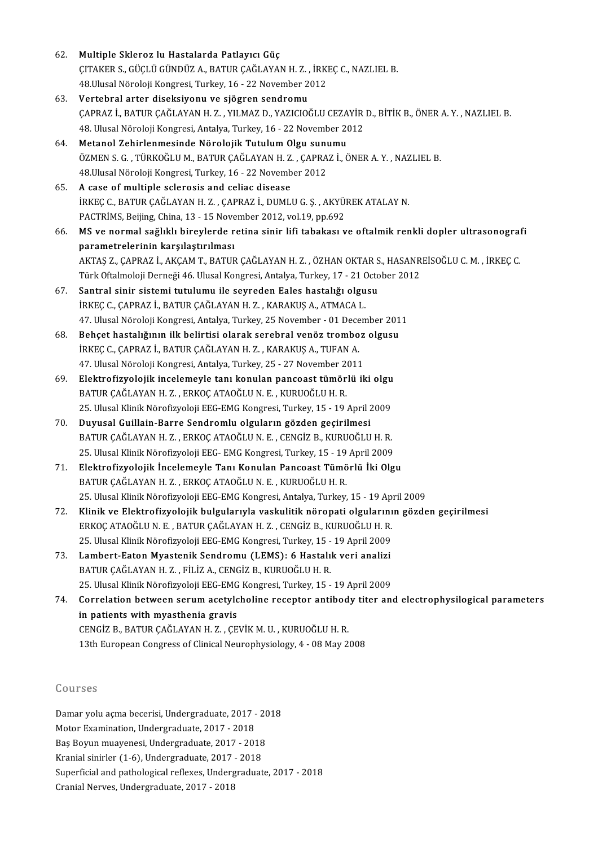| 62. | Multiple Skleroz lu Hastalarda Patlayıcı Güç                                                                                    |
|-----|---------------------------------------------------------------------------------------------------------------------------------|
|     | ÇITAKER S., GÜÇLÜ GÜNDÜZ A., BATUR ÇAĞLAYAN H. Z., İRKEÇ C., NAZLIEL B.                                                         |
|     | 48. Ulusal Nöroloji Kongresi, Turkey, 16 - 22 November 2012                                                                     |
| 63. | Vertebral arter diseksiyonu ve sjögren sendromu                                                                                 |
|     | ÇAPRAZ İ., BATUR ÇAĞLAYAN H.Z., YILMAZ D., YAZICIOĞLU CEZAYİR D., BİTİK B., ÖNER A.Y., NAZLIEL B.                               |
|     | 48. Ulusal Nöroloji Kongresi, Antalya, Turkey, 16 - 22 November 2012                                                            |
| 64. | Metanol Zehirlenmesinde Nörolojik Tutulum Olgu sunumu                                                                           |
|     | ÖZMEN S. G., TÜRKOĞLU M., BATUR ÇAĞLAYAN H. Z., ÇAPRAZ İ., ÖNER A. Y., NAZLIEL B.                                               |
|     | 48 Ulusal Nöroloji Kongresi, Turkey, 16 - 22 November 2012                                                                      |
| 65. | A case of multiple sclerosis and celiac disease                                                                                 |
|     | İRKEÇ C., BATUR ÇAĞLAYAN H. Z., ÇAPRAZ İ., DUMLU G. Ş., AKYÜREK ATALAY N.                                                       |
|     | PACTRİMS, Beijing, China, 13 - 15 November 2012, vol 19, pp.692                                                                 |
| 66. | MS ve normal sağlıklı bireylerde retina sinir lifi tabakası ve oftalmik renkli dopler ultrasonografi                            |
|     | parametrelerinin karşılaştırılması                                                                                              |
|     | AKTAŞ Z., ÇAPRAZ İ., AKÇAM T., BATUR ÇAĞLAYAN H. Z., ÖZHAN OKTAR S., HASANREİSOĞLU C. M., İRKEÇ C.                              |
|     | Türk Oftalmoloji Derneği 46. Ulusal Kongresi, Antalya, Turkey, 17 - 21 October 2012                                             |
| 67. | Santral sinir sistemi tutulumu ile seyreden Eales hastalığı olgusu                                                              |
|     | IRKEÇ C., ÇAPRAZ İ., BATUR ÇAĞLAYAN H. Z., KARAKUŞ A., ATMACA L.                                                                |
|     | 47. Ulusal Nöroloji Kongresi, Antalya, Turkey, 25 November - 01 December 2011                                                   |
| 68. | Behçet hastalığının ilk belirtisi olarak serebral venöz tromboz olgusu                                                          |
|     | İRKEÇ C., ÇAPRAZ İ., BATUR ÇAĞLAYAN H. Z., KARAKUŞ A., TUFAN A.                                                                 |
|     | 47. Ulusal Nöroloji Kongresi, Antalya, Turkey, 25 - 27 November 2011                                                            |
| 69. | Elektrofizyolojik incelemeyle tanı konulan pancoast tümörlü iki olgu<br>BATUR ÇAĞLAYAN H.Z., ERKOÇ ATAOĞLU N. E., KURUOĞLU H.R. |
|     | 25. Ulusal Klinik Nörofizyoloji EEG-EMG Kongresi, Turkey, 15 - 19 April 2009                                                    |
| 70. | Duyusal Guillain-Barre Sendromlu olguların gözden geçirilmesi                                                                   |
|     | BATUR ÇAĞLAYAN H.Z., ERKOÇ ATAOĞLU N.E., CENGİZ B., KURUOĞLU H.R.                                                               |
|     | 25. Ulusal Klinik Nörofizyoloji EEG-EMG Kongresi, Turkey, 15 - 19 April 2009                                                    |
| 71. | Elektrofizyolojik İncelemeyle Tanı Konulan Pancoast Tümörlü İki Olgu                                                            |
|     | BATUR ÇAĞLAYAN H.Z., ERKOÇ ATAOĞLU N.E., KURUOĞLU H.R.                                                                          |
|     | 25. Ulusal Klinik Nörofizyoloji EEG-EMG Kongresi, Antalya, Turkey, 15 - 19 April 2009                                           |
| 72. | Klinik ve Elektrofizyolojik bulgularıyla vaskulitik nöropati olgularının gözden geçirilmesi                                     |
|     | ERKOÇ ATAOĞLU N. E., BATUR ÇAĞLAYAN H. Z., CENGİZ B., KURUOĞLU H. R.                                                            |
|     | 25. Ulusal Klinik Nörofizyoloji EEG-EMG Kongresi, Turkey, 15 - 19 April 2009                                                    |
| 73. | Lambert-Eaton Myastenik Sendromu (LEMS): 6 Hastalık veri analizi                                                                |
|     | BATUR ÇAĞLAYAN H. Z., FİLİZ A., CENGİZ B., KURUOĞLU H. R.                                                                       |
|     | 25. Ulusal Klinik Nörofizyoloji EEG-EMG Kongresi, Turkey, 15 - 19 April 2009                                                    |
| 74. | Correlation between serum acetylcholine receptor antibody titer and electrophysilogical parameters                              |
|     | in patients with myasthenia gravis                                                                                              |
|     | CENGIZ B., BATUR ÇAĞLAYAN H. Z., ÇEVİK M. U., KURUOĞLU H. R.                                                                    |
|     | 13th European Congress of Clinical Neurophysiology, 4 - 08 May 2008                                                             |
|     |                                                                                                                                 |
|     | Courses                                                                                                                         |
|     |                                                                                                                                 |
|     | Damar yolu açma becerisi, Undergraduate, 2017 - 2018                                                                            |
|     | Motor Evamination Undergraduate 2017 2010                                                                                       |

UOUTSES<br>Damar yolu açma becerisi, Undergraduate, 2017 -<br>Motor Examination, Undergraduate, 2017 - 2018<br>Bes Bernin muairencei, Undergraduate, 2017 - 201 Damar yolu açma becerisi, Undergraduate, 2017 - 20<br>Motor Examination, Undergraduate, 2017 - 2018<br>Baş Boyun muayenesi, Undergraduate, 2017 - 2018<br>Krapial sinirlər (1.6), Undergraduate, 2017 - 2018 Motor Examination, Undergraduate, 2017 - 2018<br>Baş Boyun muayenesi, Undergraduate, 2017 - 2018<br>Kranial sinirler (1-6), Undergraduate, 2017 - 2018<br>Sunarfisial and nathological reflayes, Undergraduat Superficial and pathological reflexes, Undergraduate, 2017 - 2018<br>Cranial Nerves, Undergraduate, 2017 - 2018 Kranial sinirler (1-6), Undergraduate, 2017 - 2018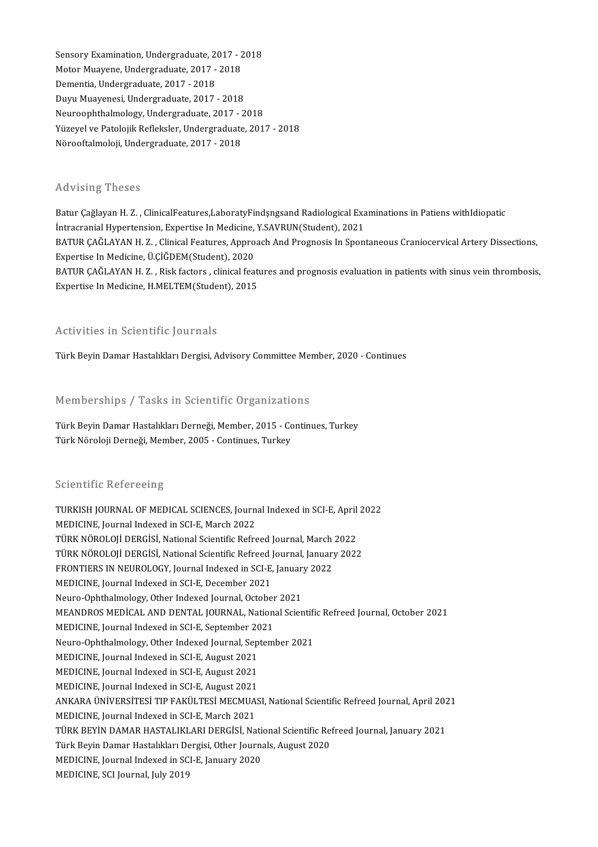Sensory Examination, Undergraduate, 2017 - 2018<br>Moter Musuane, Undergraduate, 2017 - 2018 Sensory Examination, Undergraduate, 2017 - 2<br>Motor Muayene, Undergraduate, 2017 - 2018<br>Pementia, Undergraduate, 2017 - 2019 Sensory Examination, Undergraduate, 2<br>Motor Muayene, Undergraduate, 2017 -<br>Dementia, Undergraduate, 2017 - 2018<br>Duun Muayenesi, Undergraduate, 2017 Motor Muayene, Undergraduate, 2017 - 2018<br>Dementia, Undergraduate, 2017 - 2018<br>Duyu Muayenesi, Undergraduate, 2017 - 2018 Dementia, Undergraduate, 2017 - 2018<br>Duyu Muayenesi, Undergraduate, 2017 - 2018<br>Neuroophthalmology, Undergraduate, 2017 - 2018<br>Yüzayel ve Pateleijk Befleksler, Undergraduate, 201 Yüzeyel ve Patolojik Refleksler, Undergraduate, 2017 - 2018<br>Nörooftalmoloji, Undergraduate, 2017 - 2018 Neuroophthalmology, Undergraduate, 2017 - 2<br>Yüzeyel ve Patolojik Refleksler, Undergraduate<br>Nörooftalmoloji, Undergraduate, 2017 - 2018

#### Advising Theses

Advising Theses<br>Batur Çağlayan H. Z. , ClinicalFeatures,LaboratyFindşngsand Radiological Examinations in Patiens withIdiopatic<br>Intragrapial Hymortonsian, Evnortica In Madigina V SAVPUN(Student), 2021 ITA VISING<br>Intur Çağlayan H. Z. , ClinicalFeatures,LaboratyFindşngsand Radiological Exa<br>İntracranial Hypertension, Expertise In Medicine, Y.SAVRUN(Student), 2021<br>BATUR GAĞLAYAN H. Z., Clinical Features, Annreash And Pregne Batur Çağlayan H. Z. , ClinicalFeatures,LaboratyFindşngsand Radiological Examinations in Patiens withIdiopatic<br>İntracranial Hypertension, Expertise In Medicine, Y.SAVRUN(Student), 2021<br>BATUR ÇAĞLAYAN H. Z. , Clinical Featu İntracranial Hypertension, Expertise In Medicine,<br>BATUR ÇAĞLAYAN H. Z. , Clinical Features, Appro<br>Expertise In Medicine, Ü.ÇİĞDEM(Student), 2020<br>BATUR ÇAĞLAYAN H. Z., Risk featare, clinical fea BATUR ÇAĞLAYAN H. Z. , Clinical Features, Approach And Prognosis In Spontaneous Craniocervical Artery Dissections,<br>Expertise In Medicine, Ü.ÇİĞDEM(Student), 2020<br>BATUR ÇAĞLAYAN H. Z. , Risk factors , clinical features and Expertise In Medicine, Ü.ÇİĞDEM(Student), 2020<br>BATUR ÇAĞLAYAN H. Z. , Risk factors , clinical features and prognosis evaluation in patients with sinus vein thrombosis,<br>Expertise In Medicine, H.MELTEM(Student), 2015

#### Activities in Scientific Journals

Türk Beyin Damar Hastalıkları Dergisi, Advisory Committee Member, 2020 - Continues

#### Memberships / Tasks in Scientific Organizations

Memberships / Tasks in Scientific Organizations<br>Türk Beyin Damar Hastalıkları Derneği, Member, 2015 - Continues, Turkey<br>Türk Nöreleji Derneği, Member, 2005, Continues, Turkey Türk Beyin Damar Hastalıkları Dereneme Organizacı<br>Türk Beyin Damar Hastalıkları Derneği, Member, 2015 - Co<br>Türk Nöroloji Derneği, Member, 2005 - Continues, Turkey Türk Nöroloji Derneği, Member, 2005 - Continues, Turkey<br>Scientific Refereeing

Scientific Refereeing<br>TURKISH JOURNAL OF MEDICAL SCIENCES, Journal Indexed in SCI-E, April 2022<br>MEDICINE Journal Indoxed in SCLE March 2022 Berentine Nerersenig<br>TURKISH JOURNAL OF MEDICAL SCIENCES, Journ<br>MEDICINE, Journal Indexed in SCI-E, March 2022<br>TÜRK NÖROLOU DERCİSİ, National Scientific Refre TURKISH JOURNAL OF MEDICAL SCIENCES, Journal Indexed in SCI-E, April<br>MEDICINE, Journal Indexed in SCI-E, March 2022<br>TÜRK NÖROLOJİ DERGİSİ, National Scientific Refreed Journal, March 2022<br>TÜRK NÖROLOJİ DERGİSİ, National Sci MEDICINE, Journal Indexed in SCI-E, March 2022<br>TÜRK NÖROLOJİ DERGİSİ, National Scientific Refreed Journal, March 2022<br>TÜRK NÖROLOJİ DERGİSİ, National Scientific Refreed Journal, January 2022<br>ERONTIERS IN NEUROLOCY, Jaurnal TÜRK NÖROLOJİ DERGİSİ, National Scientific Refreed Journal, March<br>TÜRK NÖROLOJİ DERGİSİ, National Scientific Refreed Journal, January<br>FRONTIERS IN NEUROLOGY, Journal Indexed in SCI-E, January 2022<br>MEDICINE Journal Indexed TÜRK NÖROLOJİ DERGİSİ, National Scientific Refreed |<br>FRONTIERS IN NEUROLOGY, Journal Indexed in SCI-E,<br>MEDICINE, Journal Indexed in SCI-E, December 2021<br>Naure Ophthalmalagy, Other Indexed Journal, Ostaha FRONTIERS IN NEUROLOGY, Journal Indexed in SCI-E, January 2022<br>MEDICINE, Journal Indexed in SCI-E, December 2021 MEANDROS MEDİCAL AND DENTAL JOURNAL, National Scientific Refreed Journal, October 2021<br>MEDICINE, Journal Indexed in SCI-E, September 2021 Neuro-Ophthalmology, Other Indexed Journal, October 2021 MEANDROS MEDICAL AND DENTAL JOURNAL, National Scientifi<br>MEDICINE, Journal Indexed in SCI-E, September 2021<br>Neuro-Ophthalmology, Other Indexed Journal, September 2021<br>MEDICINE Journal Indexed in SCLE, August 2021 MEDICINE, Journal Indexed in SCI-E, September 20<br>Neuro-Ophthalmology, Other Indexed Journal, Sep<br>MEDICINE, Journal Indexed in SCI-E, August 2021<br>MEDICINE, Journal Indexed in SCI-E, August 2021 Neuro-Ophthalmology, Other Indexed Journal, Sep<br>MEDICINE, Journal Indexed in SCI-E, August 2021<br>MEDICINE, Journal Indexed in SCI-E, August 2021<br>MEDICINE, Journal Indexed in SCI-E, August 2021 MEDICINE, Journal Indexed in SCI-E, August 2021<br>MEDICINE, Journal Indexed in SCI-E, August 2021<br>MEDICINE, Journal Indexed in SCI-E, August 2021 MEDICINE, Journal Indexed in SCI-E, August 2021<br>MEDICINE, Journal Indexed in SCI-E, August 2021<br>ANKARA ÜNİVERSİTESİ TIP FAKÜLTESİ MECMUASI, National Scientific Refreed Journal, April 2021<br>MEDICINE, Journal Indeved in SCLE, MEDICINE, Journal Indexed in SCI-E, August 2021<br>ANKARA ÜNİVERSİTESİ TIP FAKÜLTESİ MECMUA<br>MEDICINE, Journal Indexed in SCI-E, March 2021<br>TÜRK PEVİN DAMAR HASTALIKLARI DERÇİSİ, Na ANKARA ÜNİVERSİTESİ TIP FAKÜLTESİ MECMUASI, National Scientific Refreed Journal, April 202<br>MEDICINE, Journal Indexed in SCI-E, March 2021<br>TüRK BEYİN DAMAR HASTALIKLARI DERGİSİ, National Scientific Refreed Journal, January MEDICINE, Journal Indexed in SCI-E, March 2021<br>TÜRK BEYİN DAMAR HASTALIKLARI DERGİSİ, National Scientific Re:<br>Türk Beyin Damar Hastalıkları Dergisi, Other Journals, August 2020<br>MEDICINE, Journal Indoved in SCLE January 202 TÜRK BEYİN DAMAR HASTALIKLARI DERGİSİ, Nati<br>Türk Beyin Damar Hastalıkları Dergisi, Other Journa<br>MEDICINE, Journal Indexed in SCI-E, January 2020<br>MEDICINE, SCI Journal July 2019 Türk Beyin Damar Hastalıkları Dergisi, Other Journals, August 2020<br>MEDICINE, Journal Indexed in SCI-E, January 2020<br>MEDICINE, SCI Journal, July 2019